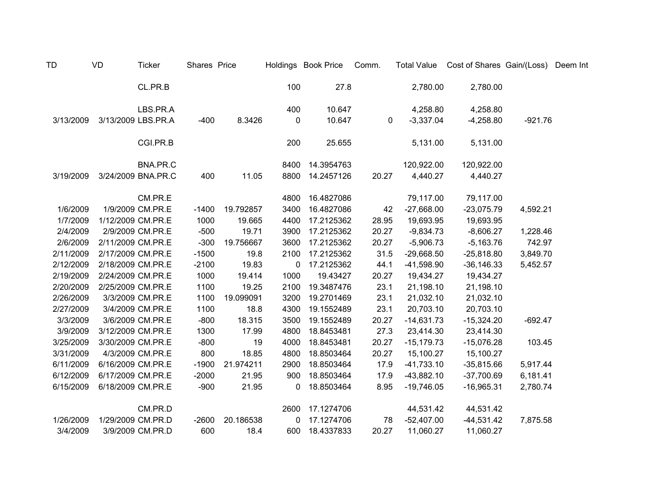| TD        | VD | <b>Ticker</b>      | Shares Price |           |             | Holdings Book Price | Comm.       | <b>Total Value</b> | Cost of Shares Gain/(Loss) Deem Int |           |  |
|-----------|----|--------------------|--------------|-----------|-------------|---------------------|-------------|--------------------|-------------------------------------|-----------|--|
|           |    | CL.PR.B            |              |           | 100         | 27.8                |             | 2,780.00           | 2,780.00                            |           |  |
|           |    | LBS.PR.A           |              |           | 400         | 10.647              |             | 4,258.80           | 4,258.80                            |           |  |
| 3/13/2009 |    | 3/13/2009 LBS.PR.A | $-400$       | 8.3426    | 0           | 10.647              | $\mathbf 0$ | $-3,337.04$        | $-4,258.80$                         | $-921.76$ |  |
|           |    | CGI.PR.B           |              |           | 200         | 25.655              |             | 5,131.00           | 5,131.00                            |           |  |
|           |    | BNA.PR.C           |              |           | 8400        | 14.3954763          |             | 120,922.00         | 120,922.00                          |           |  |
| 3/19/2009 |    | 3/24/2009 BNA.PR.C | 400          | 11.05     | 8800        | 14.2457126          | 20.27       | 4,440.27           | 4,440.27                            |           |  |
|           |    | CM.PR.E            |              |           | 4800        | 16.4827086          |             | 79,117.00          | 79,117.00                           |           |  |
| 1/6/2009  |    | 1/9/2009 CM.PR.E   | $-1400$      | 19.792857 | 3400        | 16.4827086          | 42          | $-27,668.00$       | $-23,075.79$                        | 4,592.21  |  |
| 1/7/2009  |    | 1/12/2009 CM.PR.E  | 1000         | 19.665    | 4400        | 17.2125362          | 28.95       | 19,693.95          | 19,693.95                           |           |  |
| 2/4/2009  |    | 2/9/2009 CM.PR.E   | $-500$       | 19.71     | 3900        | 17.2125362          | 20.27       | $-9,834.73$        | $-8,606.27$                         | 1,228.46  |  |
| 2/6/2009  |    | 2/11/2009 CM.PR.E  | $-300$       | 19.756667 | 3600        | 17.2125362          | 20.27       | $-5,906.73$        | $-5,163.76$                         | 742.97    |  |
| 2/11/2009 |    | 2/17/2009 CM.PR.E  | $-1500$      | 19.8      | 2100        | 17.2125362          | 31.5        | $-29,668.50$       | $-25,818.80$                        | 3,849.70  |  |
| 2/12/2009 |    | 2/18/2009 CM.PR.E  | $-2100$      | 19.83     | 0           | 17.2125362          | 44.1        | $-41,598.90$       | $-36, 146.33$                       | 5,452.57  |  |
| 2/19/2009 |    | 2/24/2009 CM.PR.E  | 1000         | 19.414    | 1000        | 19.43427            | 20.27       | 19,434.27          | 19,434.27                           |           |  |
| 2/20/2009 |    | 2/25/2009 CM.PR.E  | 1100         | 19.25     | 2100        | 19.3487476          | 23.1        | 21,198.10          | 21,198.10                           |           |  |
| 2/26/2009 |    | 3/3/2009 CM.PR.E   | 1100         | 19.099091 | 3200        | 19.2701469          | 23.1        | 21,032.10          | 21,032.10                           |           |  |
| 2/27/2009 |    | 3/4/2009 CM.PR.E   | 1100         | 18.8      | 4300        | 19.1552489          | 23.1        | 20,703.10          | 20,703.10                           |           |  |
| 3/3/2009  |    | 3/6/2009 CM.PR.E   | $-800$       | 18.315    | 3500        | 19.1552489          | 20.27       | $-14,631.73$       | $-15,324.20$                        | $-692.47$ |  |
| 3/9/2009  |    | 3/12/2009 CM.PR.E  | 1300         | 17.99     | 4800        | 18.8453481          | 27.3        | 23,414.30          | 23,414.30                           |           |  |
| 3/25/2009 |    | 3/30/2009 CM.PR.E  | $-800$       | 19        | 4000        | 18.8453481          | 20.27       | $-15,179.73$       | $-15,076.28$                        | 103.45    |  |
| 3/31/2009 |    | 4/3/2009 CM.PR.E   | 800          | 18.85     | 4800        | 18.8503464          | 20.27       | 15,100.27          | 15,100.27                           |           |  |
| 6/11/2009 |    | 6/16/2009 CM.PR.E  | $-1900$      | 21.974211 | 2900        | 18.8503464          | 17.9        | $-41,733.10$       | $-35,815.66$                        | 5,917.44  |  |
| 6/12/2009 |    | 6/17/2009 CM.PR.E  | $-2000$      | 21.95     | 900         | 18.8503464          | 17.9        | $-43,882.10$       | $-37,700.69$                        | 6,181.41  |  |
| 6/15/2009 |    | 6/18/2009 CM.PR.E  | $-900$       | 21.95     | $\mathbf 0$ | 18.8503464          | 8.95        | $-19,746.05$       | $-16,965.31$                        | 2,780.74  |  |
|           |    | CM.PR.D            |              |           | 2600        | 17.1274706          |             | 44,531.42          | 44,531.42                           |           |  |
| 1/26/2009 |    | 1/29/2009 CM.PR.D  | $-2600$      | 20.186538 | 0           | 17.1274706          | 78          | $-52,407.00$       | $-44,531.42$                        | 7,875.58  |  |
| 3/4/2009  |    | 3/9/2009 CM.PR.D   | 600          | 18.4      | 600         | 18.4337833          | 20.27       | 11,060.27          | 11,060.27                           |           |  |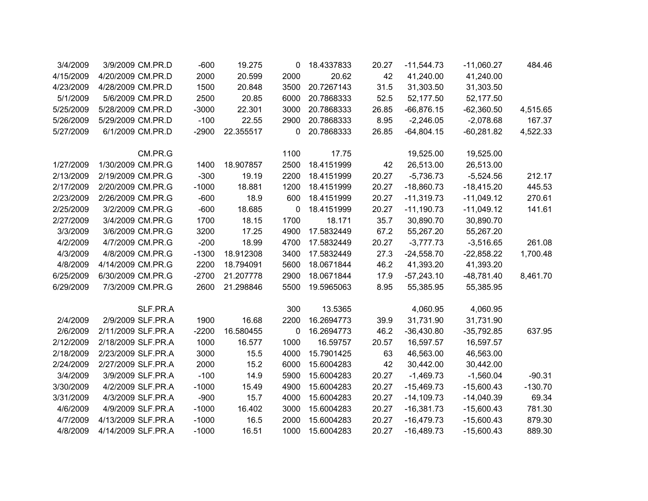| 3/4/2009  | 3/9/2009 CM.PR.D   | $-600$  | 19.275    | 0    | 18.4337833 | 20.27 | $-11,544.73$ | $-11,060.27$ | 484.46    |
|-----------|--------------------|---------|-----------|------|------------|-------|--------------|--------------|-----------|
| 4/15/2009 | 4/20/2009 CM.PR.D  | 2000    | 20.599    | 2000 | 20.62      | 42    | 41,240.00    | 41,240.00    |           |
| 4/23/2009 | 4/28/2009 CM.PR.D  | 1500    | 20.848    | 3500 | 20.7267143 | 31.5  | 31,303.50    | 31,303.50    |           |
| 5/1/2009  | 5/6/2009 CM.PR.D   | 2500    | 20.85     | 6000 | 20.7868333 | 52.5  | 52,177.50    | 52,177.50    |           |
| 5/25/2009 | 5/28/2009 CM.PR.D  | $-3000$ | 22.301    | 3000 | 20.7868333 | 26.85 | $-66,876.15$ | $-62,360.50$ | 4,515.65  |
| 5/26/2009 | 5/29/2009 CM.PR.D  | $-100$  | 22.55     | 2900 | 20.7868333 | 8.95  | $-2,246.05$  | $-2,078.68$  | 167.37    |
| 5/27/2009 | 6/1/2009 CM.PR.D   | $-2900$ | 22.355517 | 0    | 20.7868333 | 26.85 | $-64,804.15$ | $-60,281.82$ | 4,522.33  |
|           | CM.PR.G            |         |           | 1100 | 17.75      |       | 19,525.00    | 19,525.00    |           |
| 1/27/2009 | 1/30/2009 CM.PR.G  | 1400    | 18.907857 | 2500 | 18.4151999 | 42    | 26,513.00    | 26,513.00    |           |
| 2/13/2009 | 2/19/2009 CM.PR.G  | $-300$  | 19.19     | 2200 | 18.4151999 | 20.27 | $-5,736.73$  | $-5,524.56$  | 212.17    |
| 2/17/2009 | 2/20/2009 CM.PR.G  | $-1000$ | 18.881    | 1200 | 18.4151999 | 20.27 | $-18,860.73$ | $-18,415.20$ | 445.53    |
| 2/23/2009 | 2/26/2009 CM.PR.G  | $-600$  | 18.9      | 600  | 18.4151999 | 20.27 | $-11,319.73$ | $-11,049.12$ | 270.61    |
| 2/25/2009 | 3/2/2009 CM.PR.G   | $-600$  | 18.685    | 0    | 18.4151999 | 20.27 | $-11,190.73$ | $-11,049.12$ | 141.61    |
| 2/27/2009 | 3/4/2009 CM.PR.G   | 1700    | 18.15     | 1700 | 18.171     | 35.7  | 30,890.70    | 30,890.70    |           |
| 3/3/2009  | 3/6/2009 CM.PR.G   | 3200    | 17.25     | 4900 | 17.5832449 | 67.2  | 55,267.20    | 55,267.20    |           |
| 4/2/2009  | 4/7/2009 CM.PR.G   | $-200$  | 18.99     | 4700 | 17.5832449 | 20.27 | $-3,777.73$  | $-3,516.65$  | 261.08    |
| 4/3/2009  | 4/8/2009 CM.PR.G   | $-1300$ | 18.912308 | 3400 | 17.5832449 | 27.3  | $-24,558.70$ | $-22,858.22$ | 1,700.48  |
| 4/8/2009  | 4/14/2009 CM.PR.G  | 2200    | 18.794091 | 5600 | 18.0671844 | 46.2  | 41,393.20    | 41,393.20    |           |
| 6/25/2009 | 6/30/2009 CM.PR.G  | $-2700$ | 21.207778 | 2900 | 18.0671844 | 17.9  | $-57,243.10$ | $-48,781.40$ | 8,461.70  |
| 6/29/2009 | 7/3/2009 CM.PR.G   | 2600    | 21.298846 | 5500 | 19.5965063 | 8.95  | 55,385.95    | 55,385.95    |           |
|           | SLF.PR.A           |         |           | 300  | 13.5365    |       | 4,060.95     | 4,060.95     |           |
| 2/4/2009  | 2/9/2009 SLF.PR.A  | 1900    | 16.68     | 2200 | 16.2694773 | 39.9  | 31,731.90    | 31,731.90    |           |
| 2/6/2009  | 2/11/2009 SLF.PR.A | $-2200$ | 16.580455 | 0    | 16.2694773 | 46.2  | $-36,430.80$ | $-35,792.85$ | 637.95    |
| 2/12/2009 | 2/18/2009 SLF.PR.A | 1000    | 16.577    | 1000 | 16.59757   | 20.57 | 16,597.57    | 16,597.57    |           |
| 2/18/2009 | 2/23/2009 SLF.PR.A | 3000    | 15.5      | 4000 | 15.7901425 | 63    | 46,563.00    | 46,563.00    |           |
| 2/24/2009 | 2/27/2009 SLF.PR.A | 2000    | 15.2      | 6000 | 15.6004283 | 42    | 30,442.00    | 30,442.00    |           |
| 3/4/2009  | 3/9/2009 SLF.PR.A  | $-100$  | 14.9      | 5900 | 15.6004283 | 20.27 | $-1,469.73$  | $-1,560.04$  | $-90.31$  |
| 3/30/2009 | 4/2/2009 SLF.PR.A  | $-1000$ | 15.49     | 4900 | 15.6004283 | 20.27 | $-15,469.73$ | $-15,600.43$ | $-130.70$ |
| 3/31/2009 | 4/3/2009 SLF.PR.A  | $-900$  | 15.7      | 4000 | 15.6004283 | 20.27 | $-14,109.73$ | $-14,040.39$ | 69.34     |
| 4/6/2009  | 4/9/2009 SLF.PR.A  | $-1000$ | 16.402    | 3000 | 15.6004283 | 20.27 | $-16,381.73$ | $-15,600.43$ | 781.30    |
| 4/7/2009  | 4/13/2009 SLF.PR.A | $-1000$ | 16.5      | 2000 | 15.6004283 | 20.27 | $-16,479.73$ | $-15,600.43$ | 879.30    |
| 4/8/2009  | 4/14/2009 SLF.PR.A | $-1000$ | 16.51     | 1000 | 15.6004283 | 20.27 | $-16,489.73$ | $-15,600.43$ | 889.30    |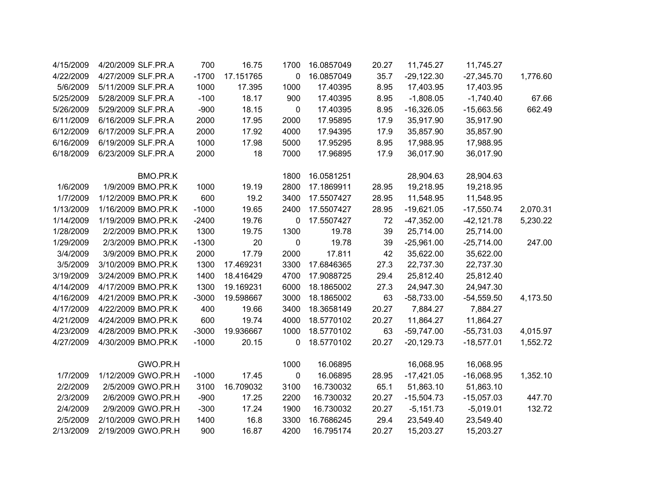| 4/15/2009 | 4/20/2009 SLF.PR.A | 700     | 16.75     | 1700        | 16.0857049 | 20.27 | 11,745.27    | 11,745.27     |          |
|-----------|--------------------|---------|-----------|-------------|------------|-------|--------------|---------------|----------|
| 4/22/2009 | 4/27/2009 SLF.PR.A | $-1700$ | 17.151765 | $\mathbf 0$ | 16.0857049 | 35.7  | $-29,122.30$ | $-27,345.70$  | 1,776.60 |
| 5/6/2009  | 5/11/2009 SLF.PR.A | 1000    | 17.395    | 1000        | 17.40395   | 8.95  | 17,403.95    | 17,403.95     |          |
| 5/25/2009 | 5/28/2009 SLF.PR.A | $-100$  | 18.17     | 900         | 17.40395   | 8.95  | $-1,808.05$  | $-1,740.40$   | 67.66    |
| 5/26/2009 | 5/29/2009 SLF.PR.A | $-900$  | 18.15     | 0           | 17.40395   | 8.95  | $-16,326.05$ | $-15,663.56$  | 662.49   |
| 6/11/2009 | 6/16/2009 SLF.PR.A | 2000    | 17.95     | 2000        | 17.95895   | 17.9  | 35,917.90    | 35,917.90     |          |
| 6/12/2009 | 6/17/2009 SLF.PR.A | 2000    | 17.92     | 4000        | 17.94395   | 17.9  | 35,857.90    | 35,857.90     |          |
| 6/16/2009 | 6/19/2009 SLF.PR.A | 1000    | 17.98     | 5000        | 17.95295   | 8.95  | 17,988.95    | 17,988.95     |          |
| 6/18/2009 | 6/23/2009 SLF.PR.A | 2000    | 18        | 7000        | 17.96895   | 17.9  | 36,017.90    | 36,017.90     |          |
|           | BMO.PR.K           |         |           | 1800        | 16.0581251 |       | 28,904.63    | 28,904.63     |          |
| 1/6/2009  | 1/9/2009 BMO.PR.K  | 1000    | 19.19     | 2800        | 17.1869911 | 28.95 | 19,218.95    | 19,218.95     |          |
| 1/7/2009  | 1/12/2009 BMO.PR.K | 600     | 19.2      | 3400        | 17.5507427 | 28.95 | 11,548.95    | 11,548.95     |          |
| 1/13/2009 | 1/16/2009 BMO.PR.K | $-1000$ | 19.65     | 2400        | 17.5507427 | 28.95 | $-19,621.05$ | $-17,550.74$  | 2,070.31 |
| 1/14/2009 | 1/19/2009 BMO.PR.K | $-2400$ | 19.76     | 0           | 17.5507427 | 72    | $-47,352.00$ | $-42, 121.78$ | 5,230.22 |
| 1/28/2009 | 2/2/2009 BMO.PR.K  | 1300    | 19.75     | 1300        | 19.78      | 39    | 25,714.00    | 25,714.00     |          |
| 1/29/2009 | 2/3/2009 BMO.PR.K  | $-1300$ | 20        | 0           | 19.78      | 39    | $-25,961.00$ | $-25,714.00$  | 247.00   |
| 3/4/2009  | 3/9/2009 BMO.PR.K  | 2000    | 17.79     | 2000        | 17.811     | 42    | 35,622.00    | 35,622.00     |          |
| 3/5/2009  | 3/10/2009 BMO.PR.K | 1300    | 17.469231 | 3300        | 17.6846365 | 27.3  | 22,737.30    | 22,737.30     |          |
| 3/19/2009 | 3/24/2009 BMO.PR.K | 1400    | 18.416429 | 4700        | 17.9088725 | 29.4  | 25,812.40    | 25,812.40     |          |
| 4/14/2009 | 4/17/2009 BMO.PR.K | 1300    | 19.169231 | 6000        | 18.1865002 | 27.3  | 24,947.30    | 24,947.30     |          |
| 4/16/2009 | 4/21/2009 BMO.PR.K | $-3000$ | 19.598667 | 3000        | 18.1865002 | 63    | $-58,733.00$ | $-54,559.50$  | 4,173.50 |
| 4/17/2009 | 4/22/2009 BMO.PR.K | 400     | 19.66     | 3400        | 18.3658149 | 20.27 | 7,884.27     | 7,884.27      |          |
| 4/21/2009 | 4/24/2009 BMO.PR.K | 600     | 19.74     | 4000        | 18.5770102 | 20.27 | 11,864.27    | 11,864.27     |          |
| 4/23/2009 | 4/28/2009 BMO.PR.K | $-3000$ | 19.936667 | 1000        | 18.5770102 | 63    | $-59,747.00$ | $-55,731.03$  | 4,015.97 |
| 4/27/2009 | 4/30/2009 BMO.PR.K | $-1000$ | 20.15     | 0           | 18.5770102 | 20.27 | $-20,129.73$ | $-18,577.01$  | 1,552.72 |
|           | GWO.PR.H           |         |           | 1000        | 16.06895   |       | 16,068.95    | 16,068.95     |          |
| 1/7/2009  | 1/12/2009 GWO.PR.H | $-1000$ | 17.45     | $\mathbf 0$ | 16.06895   | 28.95 | $-17,421.05$ | $-16,068.95$  | 1,352.10 |
| 2/2/2009  | 2/5/2009 GWO.PR.H  | 3100    | 16.709032 | 3100        | 16.730032  | 65.1  | 51,863.10    | 51,863.10     |          |
| 2/3/2009  | 2/6/2009 GWO.PR.H  | $-900$  | 17.25     | 2200        | 16.730032  | 20.27 | $-15,504.73$ | $-15,057.03$  | 447.70   |
| 2/4/2009  | 2/9/2009 GWO.PR.H  | $-300$  | 17.24     | 1900        | 16.730032  | 20.27 | $-5,151.73$  | $-5,019.01$   | 132.72   |
| 2/5/2009  | 2/10/2009 GWO.PR.H | 1400    | 16.8      | 3300        | 16.7686245 | 29.4  | 23,549.40    | 23,549.40     |          |
| 2/13/2009 | 2/19/2009 GWO.PR.H | 900     | 16.87     | 4200        | 16.795174  | 20.27 | 15,203.27    | 15,203.27     |          |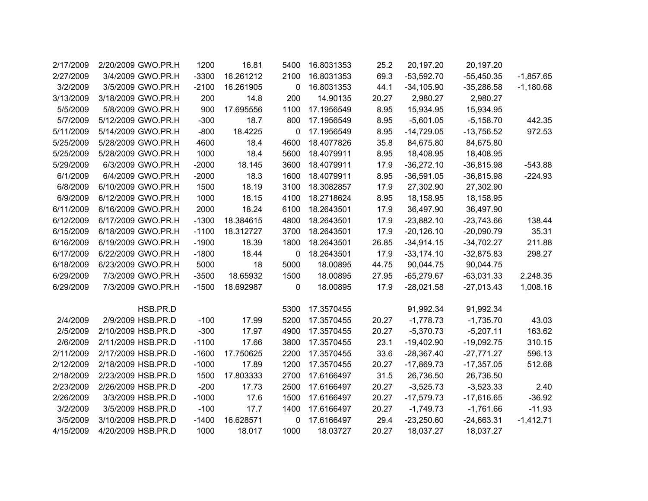|             | 20,197.20    | 20,197.20    | 25.2  | 16.8031353 | 5400 | 16.81     | 1200    | 2/20/2009 GWO.PR.H | 2/17/2009 |
|-------------|--------------|--------------|-------|------------|------|-----------|---------|--------------------|-----------|
| $-1,857.65$ | $-55,450.35$ | $-53,592.70$ | 69.3  | 16.8031353 | 2100 | 16.261212 | $-3300$ | 3/4/2009 GWO.PR.H  | 2/27/2009 |
| $-1,180.68$ | $-35,286.58$ | $-34,105.90$ | 44.1  | 16.8031353 | 0    | 16.261905 | $-2100$ | 3/5/2009 GWO.PR.H  | 3/2/2009  |
|             | 2,980.27     | 2,980.27     | 20.27 | 14.90135   | 200  | 14.8      | 200     | 3/18/2009 GWO.PR.H | 3/13/2009 |
|             | 15,934.95    | 15,934.95    | 8.95  | 17.1956549 | 1100 | 17.695556 | 900     | 5/8/2009 GWO.PR.H  | 5/5/2009  |
| 442.35      | $-5,158.70$  | $-5,601.05$  | 8.95  | 17.1956549 | 800  | 18.7      | $-300$  | 5/12/2009 GWO.PR.H | 5/7/2009  |
| 972.53      | $-13,756.52$ | $-14,729.05$ | 8.95  | 17.1956549 | 0    | 18.4225   | $-800$  | 5/14/2009 GWO.PR.H | 5/11/2009 |
|             | 84,675.80    | 84,675.80    | 35.8  | 18.4077826 | 4600 | 18.4      | 4600    | 5/28/2009 GWO.PR.H | 5/25/2009 |
|             | 18,408.95    | 18,408.95    | 8.95  | 18.4079911 | 5600 | 18.4      | 1000    | 5/28/2009 GWO.PR.H | 5/25/2009 |
| $-543.88$   | $-36,815.98$ | $-36,272.10$ | 17.9  | 18.4079911 | 3600 | 18.145    | $-2000$ | 6/3/2009 GWO.PR.H  | 5/29/2009 |
| $-224.93$   | $-36,815.98$ | $-36,591.05$ | 8.95  | 18.4079911 | 1600 | 18.3      | $-2000$ | 6/4/2009 GWO.PR.H  | 6/1/2009  |
|             | 27,302.90    | 27,302.90    | 17.9  | 18.3082857 | 3100 | 18.19     | 1500    | 6/10/2009 GWO.PR.H | 6/8/2009  |
|             | 18,158.95    | 18,158.95    | 8.95  | 18.2718624 | 4100 | 18.15     | 1000    | 6/12/2009 GWO.PR.H | 6/9/2009  |
|             | 36,497.90    | 36,497.90    | 17.9  | 18.2643501 | 6100 | 18.24     | 2000    | 6/16/2009 GWO.PR.H | 6/11/2009 |
| 138.44      | $-23,743.66$ | $-23,882.10$ | 17.9  | 18.2643501 | 4800 | 18.384615 | $-1300$ | 6/17/2009 GWO.PR.H | 6/12/2009 |
| 35.31       | $-20,090.79$ | $-20,126.10$ | 17.9  | 18.2643501 | 3700 | 18.312727 | $-1100$ | 6/18/2009 GWO.PR.H | 6/15/2009 |
| 211.88      | $-34,702.27$ | $-34,914.15$ | 26.85 | 18.2643501 | 1800 | 18.39     | $-1900$ | 6/19/2009 GWO.PR.H | 6/16/2009 |
| 298.27      | $-32,875.83$ | $-33,174.10$ | 17.9  | 18.2643501 | 0    | 18.44     | $-1800$ | 6/22/2009 GWO.PR.H | 6/17/2009 |
|             | 90,044.75    | 90,044.75    | 44.75 | 18.00895   | 5000 | 18        | 5000    | 6/23/2009 GWO.PR.H | 6/18/2009 |
| 2,248.35    | $-63,031.33$ | $-65,279.67$ | 27.95 | 18.00895   | 1500 | 18.65932  | $-3500$ | 7/3/2009 GWO.PR.H  | 6/29/2009 |
| 1,008.16    | $-27,013.43$ | $-28,021.58$ | 17.9  | 18.00895   | 0    | 18.692987 | $-1500$ | 7/3/2009 GWO.PR.H  | 6/29/2009 |
|             |              |              |       |            |      |           |         |                    |           |
|             | 91,992.34    | 91,992.34    |       | 17.3570455 | 5300 |           |         | HSB.PR.D           |           |
| 43.03       | $-1,735.70$  | $-1,778.73$  | 20.27 | 17.3570455 | 5200 | 17.99     | $-100$  | 2/9/2009 HSB.PR.D  | 2/4/2009  |
| 163.62      | $-5,207.11$  | $-5,370.73$  | 20.27 | 17.3570455 | 4900 | 17.97     | $-300$  | 2/10/2009 HSB.PR.D | 2/5/2009  |
| 310.15      | $-19,092.75$ | $-19,402.90$ | 23.1  | 17.3570455 | 3800 | 17.66     | $-1100$ | 2/11/2009 HSB.PR.D | 2/6/2009  |
| 596.13      | $-27,771.27$ | $-28,367.40$ | 33.6  | 17.3570455 | 2200 | 17.750625 | $-1600$ | 2/17/2009 HSB.PR.D | 2/11/2009 |
| 512.68      | $-17,357.05$ | $-17,869.73$ | 20.27 | 17.3570455 | 1200 | 17.89     | $-1000$ | 2/18/2009 HSB.PR.D | 2/12/2009 |
|             | 26,736.50    | 26,736.50    | 31.5  | 17.6166497 | 2700 | 17.803333 | 1500    | 2/23/2009 HSB.PR.D | 2/18/2009 |
| 2.40        | $-3,523.33$  | $-3,525.73$  | 20.27 | 17.6166497 | 2500 | 17.73     | $-200$  | 2/26/2009 HSB.PR.D | 2/23/2009 |
| $-36.92$    | $-17,616.65$ | $-17,579.73$ | 20.27 | 17.6166497 | 1500 | 17.6      | $-1000$ | 3/3/2009 HSB.PR.D  | 2/26/2009 |
| $-11.93$    | $-1,761.66$  | $-1,749.73$  | 20.27 | 17.6166497 | 1400 | 17.7      | $-100$  | 3/5/2009 HSB.PR.D  | 3/2/2009  |
| $-1,412.71$ | $-24,663.31$ | $-23,250.60$ | 29.4  | 17.6166497 | 0    | 16.628571 | $-1400$ | 3/10/2009 HSB.PR.D | 3/5/2009  |
|             | 18,037.27    | 18,037.27    | 20.27 | 18.03727   | 1000 | 18.017    | 1000    | 4/20/2009 HSB.PR.D | 4/15/2009 |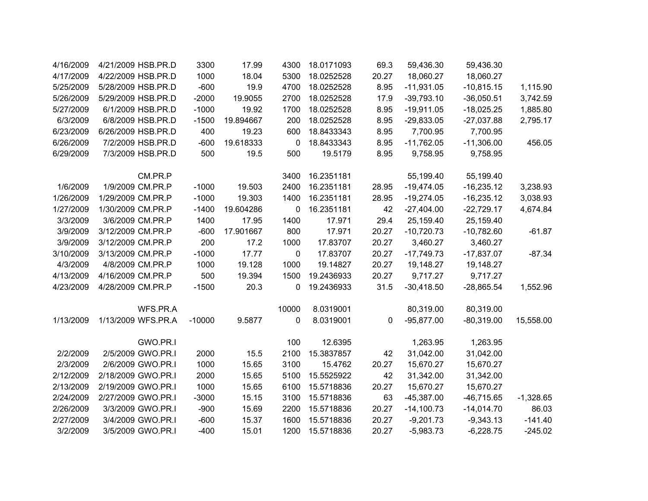| 4/16/2009 | 4/21/2009 HSB.PR.D | 3300     | 17.99     | 4300      | 18.0171093 | 69.3  | 59,436.30    | 59,436.30    |             |
|-----------|--------------------|----------|-----------|-----------|------------|-------|--------------|--------------|-------------|
| 4/17/2009 | 4/22/2009 HSB.PR.D | 1000     | 18.04     | 5300      | 18.0252528 | 20.27 | 18,060.27    | 18,060.27    |             |
| 5/25/2009 | 5/28/2009 HSB.PR.D | $-600$   | 19.9      | 4700      | 18.0252528 | 8.95  | $-11,931.05$ | $-10,815.15$ | 1,115.90    |
| 5/26/2009 | 5/29/2009 HSB.PR.D | $-2000$  | 19.9055   | 2700      | 18.0252528 | 17.9  | $-39,793.10$ | $-36,050.51$ | 3,742.59    |
| 5/27/2009 | 6/1/2009 HSB.PR.D  | $-1000$  | 19.92     | 1700      | 18.0252528 | 8.95  | $-19,911.05$ | $-18,025.25$ | 1,885.80    |
| 6/3/2009  | 6/8/2009 HSB.PR.D  | $-1500$  | 19.894667 | 200       | 18.0252528 | 8.95  | $-29,833.05$ | $-27,037.88$ | 2,795.17    |
| 6/23/2009 | 6/26/2009 HSB.PR.D | 400      | 19.23     | 600       | 18.8433343 | 8.95  | 7,700.95     | 7,700.95     |             |
| 6/26/2009 | 7/2/2009 HSB.PR.D  | $-600$   | 19.618333 | 0         | 18.8433343 | 8.95  | $-11,762.05$ | $-11,306.00$ | 456.05      |
| 6/29/2009 | 7/3/2009 HSB.PR.D  | 500      | 19.5      | 500       | 19.5179    | 8.95  | 9,758.95     | 9,758.95     |             |
|           | CM.PR.P            |          |           | 3400      | 16.2351181 |       | 55,199.40    | 55,199.40    |             |
| 1/6/2009  | 1/9/2009 CM.PR.P   | $-1000$  | 19.503    | 2400      | 16.2351181 | 28.95 | $-19,474.05$ | $-16,235.12$ | 3,238.93    |
| 1/26/2009 | 1/29/2009 CM.PR.P  | $-1000$  | 19.303    | 1400      | 16.2351181 | 28.95 | $-19,274.05$ | $-16,235.12$ | 3,038.93    |
| 1/27/2009 | 1/30/2009 CM.PR.P  | $-1400$  | 19.604286 | 0         | 16.2351181 | 42    | $-27,404.00$ | $-22,729.17$ | 4,674.84    |
| 3/3/2009  | 3/6/2009 CM.PR.P   | 1400     | 17.95     | 1400      | 17.971     | 29.4  | 25,159.40    | 25,159.40    |             |
| 3/9/2009  | 3/12/2009 CM.PR.P  | $-600$   | 17.901667 | 800       | 17.971     | 20.27 | $-10,720.73$ | $-10,782.60$ | $-61.87$    |
| 3/9/2009  | 3/12/2009 CM.PR.P  | 200      | 17.2      | 1000      | 17.83707   | 20.27 | 3,460.27     | 3,460.27     |             |
| 3/10/2009 | 3/13/2009 CM.PR.P  | $-1000$  | 17.77     | $\pmb{0}$ | 17.83707   | 20.27 | $-17,749.73$ | $-17,837.07$ | $-87.34$    |
| 4/3/2009  | 4/8/2009 CM.PR.P   | 1000     | 19.128    | 1000      | 19.14827   | 20.27 | 19,148.27    | 19,148.27    |             |
| 4/13/2009 | 4/16/2009 CM.PR.P  | 500      | 19.394    | 1500      | 19.2436933 | 20.27 | 9,717.27     | 9,717.27     |             |
| 4/23/2009 | 4/28/2009 CM.PR.P  | $-1500$  | 20.3      | 0         | 19.2436933 | 31.5  | $-30,418.50$ | $-28,865.54$ | 1,552.96    |
|           | WFS.PR.A           |          |           | 10000     | 8.0319001  |       | 80,319.00    | 80,319.00    |             |
| 1/13/2009 | 1/13/2009 WFS.PR.A | $-10000$ | 9.5877    | 0         | 8.0319001  | 0     | $-95,877.00$ | $-80,319.00$ | 15,558.00   |
|           | GWO.PR.I           |          |           | 100       | 12.6395    |       | 1,263.95     | 1,263.95     |             |
| 2/2/2009  | 2/5/2009 GWO.PR.I  | 2000     | 15.5      | 2100      | 15.3837857 | 42    | 31,042.00    | 31,042.00    |             |
| 2/3/2009  | 2/6/2009 GWO.PR.I  | 1000     | 15.65     | 3100      | 15.4762    | 20.27 | 15,670.27    | 15,670.27    |             |
| 2/12/2009 | 2/18/2009 GWO.PR.I | 2000     | 15.65     | 5100      | 15.5525922 | 42    | 31,342.00    | 31,342.00    |             |
| 2/13/2009 | 2/19/2009 GWO.PR.I | 1000     | 15.65     | 6100      | 15.5718836 | 20.27 | 15,670.27    | 15,670.27    |             |
| 2/24/2009 | 2/27/2009 GWO.PR.I | $-3000$  | 15.15     | 3100      | 15.5718836 | 63    | $-45,387.00$ | $-46,715.65$ | $-1,328.65$ |
| 2/26/2009 | 3/3/2009 GWO.PR.I  | $-900$   | 15.69     | 2200      | 15.5718836 | 20.27 | $-14,100.73$ | $-14,014.70$ | 86.03       |
| 2/27/2009 | 3/4/2009 GWO.PR.I  | $-600$   | 15.37     | 1600      | 15.5718836 | 20.27 | $-9,201.73$  | $-9,343.13$  | $-141.40$   |
| 3/2/2009  | 3/5/2009 GWO.PR.I  | $-400$   | 15.01     | 1200      | 15.5718836 | 20.27 | $-5,983.73$  | $-6,228.75$  | $-245.02$   |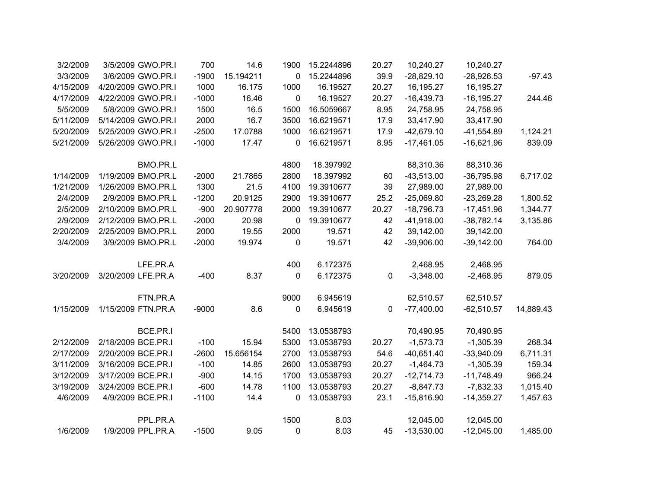| 3/2/2009  | 3/5/2009 GWO.PR.I  | 700     | 14.6      | 1900        | 15.2244896 | 20.27 | 10,240.27    | 10,240.27     |           |
|-----------|--------------------|---------|-----------|-------------|------------|-------|--------------|---------------|-----------|
| 3/3/2009  | 3/6/2009 GWO.PR.I  | $-1900$ | 15.194211 | 0           | 15.2244896 | 39.9  | $-28,829.10$ | $-28,926.53$  | $-97.43$  |
| 4/15/2009 | 4/20/2009 GWO.PR.I | 1000    | 16.175    | 1000        | 16.19527   | 20.27 | 16,195.27    | 16,195.27     |           |
| 4/17/2009 | 4/22/2009 GWO.PR.I | $-1000$ | 16.46     | 0           | 16.19527   | 20.27 | $-16,439.73$ | $-16, 195.27$ | 244.46    |
| 5/5/2009  | 5/8/2009 GWO.PR.I  | 1500    | 16.5      | 1500        | 16.5059667 | 8.95  | 24,758.95    | 24,758.95     |           |
| 5/11/2009 | 5/14/2009 GWO.PR.I | 2000    | 16.7      | 3500        | 16.6219571 | 17.9  | 33,417.90    | 33,417.90     |           |
| 5/20/2009 | 5/25/2009 GWO.PR.I | $-2500$ | 17.0788   | 1000        | 16.6219571 | 17.9  | $-42,679.10$ | $-41,554.89$  | 1,124.21  |
| 5/21/2009 | 5/26/2009 GWO.PR.I | $-1000$ | 17.47     | 0           | 16.6219571 | 8.95  | $-17,461.05$ | $-16,621.96$  | 839.09    |
|           | BMO.PR.L           |         |           | 4800        | 18.397992  |       | 88,310.36    | 88,310.36     |           |
| 1/14/2009 | 1/19/2009 BMO.PR.L | $-2000$ | 21.7865   | 2800        | 18.397992  | 60    | $-43,513.00$ | $-36,795.98$  | 6,717.02  |
| 1/21/2009 | 1/26/2009 BMO.PR.L | 1300    | 21.5      | 4100        | 19.3910677 | 39    | 27,989.00    | 27,989.00     |           |
| 2/4/2009  | 2/9/2009 BMO.PR.L  | $-1200$ | 20.9125   | 2900        | 19.3910677 | 25.2  | $-25,069.80$ | $-23,269.28$  | 1,800.52  |
| 2/5/2009  | 2/10/2009 BMO.PR.L | $-900$  | 20.907778 | 2000        | 19.3910677 | 20.27 | $-18,796.73$ | $-17,451.96$  | 1,344.77  |
| 2/9/2009  | 2/12/2009 BMO.PR.L | $-2000$ | 20.98     | $\mathbf 0$ | 19.3910677 | 42    | $-41,918.00$ | $-38,782.14$  | 3,135.86  |
| 2/20/2009 | 2/25/2009 BMO.PR.L | 2000    | 19.55     | 2000        | 19.571     | 42    | 39,142.00    | 39,142.00     |           |
| 3/4/2009  | 3/9/2009 BMO.PR.L  | $-2000$ | 19.974    | 0           | 19.571     | 42    | $-39,906.00$ | $-39,142.00$  | 764.00    |
|           | LFE.PR.A           |         |           | 400         | 6.172375   |       | 2,468.95     | 2,468.95      |           |
| 3/20/2009 | 3/20/2009 LFE.PR.A | $-400$  | 8.37      | 0           | 6.172375   | 0     | $-3,348.00$  | $-2,468.95$   | 879.05    |
|           | FTN.PR.A           |         |           | 9000        | 6.945619   |       | 62,510.57    | 62,510.57     |           |
| 1/15/2009 | 1/15/2009 FTN.PR.A | $-9000$ | 8.6       | 0           | 6.945619   | 0     | $-77,400.00$ | $-62,510.57$  | 14,889.43 |
|           | BCE.PR.I           |         |           | 5400        | 13.0538793 |       | 70,490.95    | 70,490.95     |           |
| 2/12/2009 | 2/18/2009 BCE.PR.I | $-100$  | 15.94     | 5300        | 13.0538793 | 20.27 | $-1,573.73$  | $-1,305.39$   | 268.34    |
| 2/17/2009 | 2/20/2009 BCE.PR.I | $-2600$ | 15.656154 | 2700        | 13.0538793 | 54.6  | $-40,651.40$ | $-33,940.09$  | 6,711.31  |
| 3/11/2009 | 3/16/2009 BCE.PR.I | $-100$  | 14.85     | 2600        | 13.0538793 | 20.27 | $-1,464.73$  | $-1,305.39$   | 159.34    |
| 3/12/2009 | 3/17/2009 BCE.PR.I | $-900$  | 14.15     | 1700        | 13.0538793 | 20.27 | $-12,714.73$ | $-11,748.49$  | 966.24    |
| 3/19/2009 | 3/24/2009 BCE.PR.I | $-600$  | 14.78     | 1100        | 13.0538793 | 20.27 | $-8,847.73$  | $-7,832.33$   | 1,015.40  |
| 4/6/2009  | 4/9/2009 BCE.PR.I  | $-1100$ | 14.4      | 0           | 13.0538793 | 23.1  | $-15,816.90$ | $-14,359.27$  | 1,457.63  |
|           | PPL.PR.A           |         |           | 1500        | 8.03       |       | 12,045.00    | 12,045.00     |           |
| 1/6/2009  | 1/9/2009 PPL.PR.A  | $-1500$ | 9.05      | 0           | 8.03       | 45    | $-13,530.00$ | $-12,045.00$  | 1,485.00  |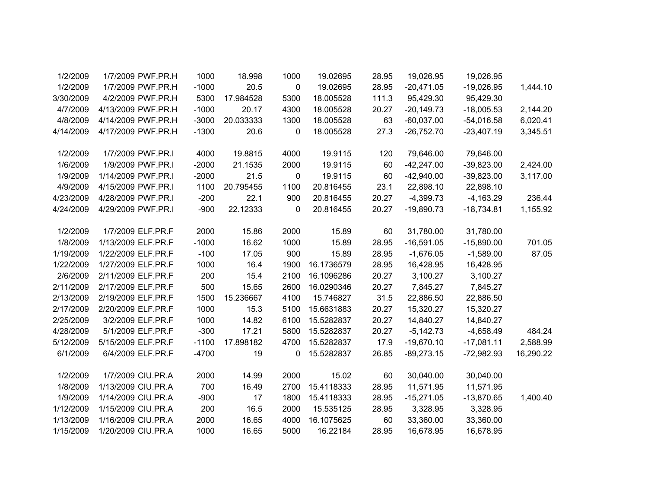|           | 19,026.95    | 19,026.95    | 28.95 | 19.02695   | 1000 | 18.998    | 1000    | 1/7/2009 PWF.PR.H  | 1/2/2009  |
|-----------|--------------|--------------|-------|------------|------|-----------|---------|--------------------|-----------|
| 1,444.10  | $-19,026.95$ | $-20,471.05$ | 28.95 | 19.02695   | 0    | 20.5      | $-1000$ | 1/7/2009 PWF.PR.H  | 1/2/2009  |
|           | 95,429.30    | 95,429.30    | 111.3 | 18.005528  | 5300 | 17.984528 | 5300    | 4/2/2009 PWF.PR.H  | 3/30/2009 |
| 2,144.20  | $-18,005.53$ | $-20,149.73$ | 20.27 | 18.005528  | 4300 | 20.17     | $-1000$ | 4/13/2009 PWF.PR.H | 4/7/2009  |
| 6,020.41  | $-54,016.58$ | $-60,037.00$ | 63    | 18.005528  | 1300 | 20.033333 | $-3000$ | 4/14/2009 PWF.PR.H | 4/8/2009  |
| 3,345.51  | $-23,407.19$ | $-26,752.70$ | 27.3  | 18.005528  | 0    | 20.6      | $-1300$ | 4/17/2009 PWF.PR.H | 4/14/2009 |
|           |              |              |       |            |      |           |         |                    |           |
|           | 79,646.00    | 79,646.00    | 120   | 19.9115    | 4000 | 19.8815   | 4000    | 1/7/2009 PWF.PR.I  | 1/2/2009  |
| 2,424.00  | $-39,823.00$ | $-42,247.00$ | 60    | 19.9115    | 2000 | 21.1535   | $-2000$ | 1/9/2009 PWF.PR.I  | 1/6/2009  |
| 3,117.00  | $-39,823.00$ | $-42,940.00$ | 60    | 19.9115    | 0    | 21.5      | $-2000$ | 1/14/2009 PWF.PR.I | 1/9/2009  |
|           | 22,898.10    | 22,898.10    | 23.1  | 20.816455  | 1100 | 20.795455 | 1100    | 4/15/2009 PWF.PR.I | 4/9/2009  |
| 236.44    | $-4,163.29$  | $-4,399.73$  | 20.27 | 20.816455  | 900  | 22.1      | $-200$  | 4/28/2009 PWF.PR.I | 4/23/2009 |
| 1,155.92  | $-18,734.81$ | $-19,890.73$ | 20.27 | 20.816455  | 0    | 22.12333  | $-900$  | 4/29/2009 PWF.PR.I | 4/24/2009 |
|           | 31,780.00    | 31,780.00    | 60    | 15.89      | 2000 | 15.86     | 2000    | 1/7/2009 ELF.PR.F  | 1/2/2009  |
| 701.05    | $-15,890.00$ | $-16,591.05$ | 28.95 | 15.89      | 1000 | 16.62     | $-1000$ | 1/13/2009 ELF.PR.F | 1/8/2009  |
| 87.05     | $-1,589.00$  | $-1,676.05$  | 28.95 | 15.89      | 900  | 17.05     | $-100$  | 1/22/2009 ELF.PR.F | 1/19/2009 |
|           | 16,428.95    | 16,428.95    | 28.95 | 16.1736579 | 1900 | 16.4      | 1000    | 1/27/2009 ELF.PR.F | 1/22/2009 |
|           | 3,100.27     | 3,100.27     | 20.27 | 16.1096286 | 2100 | 15.4      | 200     | 2/11/2009 ELF.PR.F | 2/6/2009  |
|           | 7,845.27     |              | 20.27 | 16.0290346 |      |           | 500     | 2/17/2009 ELF.PR.F | 2/11/2009 |
|           |              | 7,845.27     |       |            | 2600 | 15.65     |         |                    |           |
|           | 22,886.50    | 22,886.50    | 31.5  | 15.746827  | 4100 | 15.236667 | 1500    | 2/19/2009 ELF.PR.F | 2/13/2009 |
|           | 15,320.27    | 15,320.27    | 20.27 | 15.6631883 | 5100 | 15.3      | 1000    | 2/20/2009 ELF.PR.F | 2/17/2009 |
|           | 14,840.27    | 14,840.27    | 20.27 | 15.5282837 | 6100 | 14.82     | 1000    | 3/2/2009 ELF.PR.F  | 2/25/2009 |
| 484.24    | $-4,658.49$  | $-5,142.73$  | 20.27 | 15.5282837 | 5800 | 17.21     | $-300$  | 5/1/2009 ELF.PR.F  | 4/28/2009 |
| 2,588.99  | $-17,081.11$ | $-19,670.10$ | 17.9  | 15.5282837 | 4700 | 17.898182 | $-1100$ | 5/15/2009 ELF.PR.F | 5/12/2009 |
| 16,290.22 | $-72,982.93$ | $-89,273.15$ | 26.85 | 15.5282837 | 0    | 19        | $-4700$ | 6/4/2009 ELF.PR.F  | 6/1/2009  |
|           | 30,040.00    | 30,040.00    | 60    | 15.02      | 2000 | 14.99     | 2000    | 1/7/2009 CIU.PR.A  | 1/2/2009  |
|           | 11,571.95    | 11,571.95    | 28.95 | 15.4118333 | 2700 | 16.49     | 700     | 1/13/2009 CIU.PR.A | 1/8/2009  |
| 1,400.40  | $-13,870.65$ | $-15,271.05$ | 28.95 | 15.4118333 | 1800 | 17        | $-900$  | 1/14/2009 CIU.PR.A | 1/9/2009  |
|           | 3,328.95     | 3,328.95     | 28.95 | 15.535125  | 2000 | 16.5      | 200     | 1/15/2009 CIU.PR.A | 1/12/2009 |
|           | 33,360.00    | 33,360.00    | 60    | 16.1075625 | 4000 | 16.65     | 2000    | 1/16/2009 CIU.PR.A | 1/13/2009 |
|           | 16,678.95    | 16,678.95    | 28.95 | 16.22184   | 5000 | 16.65     | 1000    | 1/20/2009 CIU.PR.A | 1/15/2009 |
|           |              |              |       |            |      |           |         |                    |           |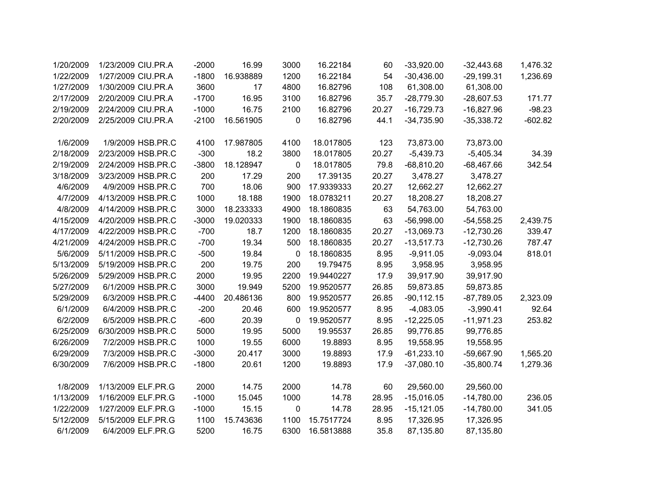| 1/20/2009 | 1/23/2009 CIU.PR.A | $-2000$ | 16.99     | 3000        | 16.22184   | 60    | $-33,920.00$  | $-32,443.68$ | 1,476.32  |
|-----------|--------------------|---------|-----------|-------------|------------|-------|---------------|--------------|-----------|
| 1/22/2009 | 1/27/2009 CIU.PR.A | $-1800$ | 16.938889 | 1200        | 16.22184   | 54    | $-30,436.00$  | $-29,199.31$ | 1,236.69  |
| 1/27/2009 | 1/30/2009 CIU.PR.A | 3600    | 17        | 4800        | 16.82796   | 108   | 61,308.00     | 61,308.00    |           |
| 2/17/2009 | 2/20/2009 CIU.PR.A | $-1700$ | 16.95     | 3100        | 16.82796   | 35.7  | $-28,779.30$  | $-28,607.53$ | 171.77    |
| 2/19/2009 | 2/24/2009 CIU.PR.A | $-1000$ | 16.75     | 2100        | 16.82796   | 20.27 | $-16,729.73$  | $-16,827.96$ | $-98.23$  |
| 2/20/2009 | 2/25/2009 CIU.PR.A | $-2100$ | 16.561905 | 0           | 16.82796   | 44.1  | $-34,735.90$  | $-35,338.72$ | $-602.82$ |
|           |                    |         |           |             |            |       |               |              |           |
| 1/6/2009  | 1/9/2009 HSB.PR.C  | 4100    | 17.987805 | 4100        | 18.017805  | 123   | 73,873.00     | 73,873.00    |           |
| 2/18/2009 | 2/23/2009 HSB.PR.C | $-300$  | 18.2      | 3800        | 18.017805  | 20.27 | $-5,439.73$   | $-5,405.34$  | 34.39     |
| 2/19/2009 | 2/24/2009 HSB.PR.C | $-3800$ | 18.128947 | $\mathbf 0$ | 18.017805  | 79.8  | $-68,810.20$  | $-68,467.66$ | 342.54    |
| 3/18/2009 | 3/23/2009 HSB.PR.C | 200     | 17.29     | 200         | 17.39135   | 20.27 | 3,478.27      | 3,478.27     |           |
| 4/6/2009  | 4/9/2009 HSB.PR.C  | 700     | 18.06     | 900         | 17.9339333 | 20.27 | 12,662.27     | 12,662.27    |           |
| 4/7/2009  | 4/13/2009 HSB.PR.C | 1000    | 18.188    | 1900        | 18.0783211 | 20.27 | 18,208.27     | 18,208.27    |           |
| 4/8/2009  | 4/14/2009 HSB.PR.C | 3000    | 18.233333 | 4900        | 18.1860835 | 63    | 54,763.00     | 54,763.00    |           |
| 4/15/2009 | 4/20/2009 HSB.PR.C | $-3000$ | 19.020333 | 1900        | 18.1860835 | 63    | $-56,998.00$  | $-54,558.25$ | 2,439.75  |
| 4/17/2009 | 4/22/2009 HSB.PR.C | $-700$  | 18.7      | 1200        | 18.1860835 | 20.27 | $-13,069.73$  | $-12,730.26$ | 339.47    |
| 4/21/2009 | 4/24/2009 HSB.PR.C | $-700$  | 19.34     | 500         | 18.1860835 | 20.27 | $-13,517.73$  | $-12,730.26$ | 787.47    |
| 5/6/2009  | 5/11/2009 HSB.PR.C | $-500$  | 19.84     | 0           | 18.1860835 | 8.95  | $-9,911.05$   | $-9,093.04$  | 818.01    |
| 5/13/2009 | 5/19/2009 HSB.PR.C | 200     | 19.75     | 200         | 19.79475   | 8.95  | 3,958.95      | 3,958.95     |           |
| 5/26/2009 | 5/29/2009 HSB.PR.C | 2000    | 19.95     | 2200        | 19.9440227 | 17.9  | 39,917.90     | 39,917.90    |           |
| 5/27/2009 | 6/1/2009 HSB.PR.C  | 3000    | 19.949    | 5200        | 19.9520577 | 26.85 | 59,873.85     | 59,873.85    |           |
| 5/29/2009 | 6/3/2009 HSB.PR.C  | $-4400$ | 20.486136 | 800         | 19.9520577 | 26.85 | $-90, 112.15$ | $-87,789.05$ | 2,323.09  |
| 6/1/2009  | 6/4/2009 HSB.PR.C  | $-200$  | 20.46     | 600         | 19.9520577 | 8.95  | $-4,083.05$   | $-3,990.41$  | 92.64     |
| 6/2/2009  | 6/5/2009 HSB.PR.C  | $-600$  | 20.39     | 0           | 19.9520577 | 8.95  | $-12,225.05$  | $-11,971.23$ | 253.82    |
| 6/25/2009 | 6/30/2009 HSB.PR.C | 5000    | 19.95     | 5000        | 19.95537   | 26.85 | 99,776.85     | 99,776.85    |           |
| 6/26/2009 | 7/2/2009 HSB.PR.C  | 1000    | 19.55     | 6000        | 19.8893    | 8.95  | 19,558.95     | 19,558.95    |           |
| 6/29/2009 | 7/3/2009 HSB.PR.C  | $-3000$ | 20.417    | 3000        | 19.8893    | 17.9  | $-61,233.10$  | $-59,667.90$ | 1,565.20  |
| 6/30/2009 | 7/6/2009 HSB.PR.C  | $-1800$ | 20.61     | 1200        | 19.8893    | 17.9  | $-37,080.10$  | $-35,800.74$ | 1,279.36  |
|           |                    |         |           |             |            |       |               |              |           |
| 1/8/2009  | 1/13/2009 ELF.PR.G | 2000    | 14.75     | 2000        | 14.78      | 60    | 29,560.00     | 29,560.00    |           |
| 1/13/2009 | 1/16/2009 ELF.PR.G | $-1000$ | 15.045    | 1000        | 14.78      | 28.95 | $-15,016.05$  | $-14,780.00$ | 236.05    |
| 1/22/2009 | 1/27/2009 ELF.PR.G | $-1000$ | 15.15     | 0           | 14.78      | 28.95 | $-15,121.05$  | $-14,780.00$ | 341.05    |
| 5/12/2009 | 5/15/2009 ELF.PR.G | 1100    | 15.743636 | 1100        | 15.7517724 | 8.95  | 17,326.95     | 17,326.95    |           |
| 6/1/2009  | 6/4/2009 ELF.PR.G  | 5200    | 16.75     | 6300        | 16.5813888 | 35.8  | 87,135.80     | 87,135.80    |           |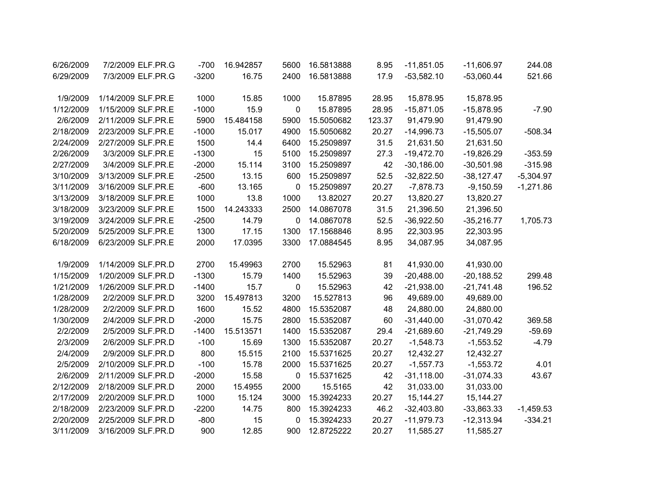| 6/26/2009 | 7/2/2009 ELF.PR.G  | $-700$  | 16.942857 | 5600        | 16.5813888 | 8.95   | $-11,851.05$ | $-11,606.97$ | 244.08      |
|-----------|--------------------|---------|-----------|-------------|------------|--------|--------------|--------------|-------------|
| 6/29/2009 | 7/3/2009 ELF.PR.G  | $-3200$ | 16.75     | 2400        | 16.5813888 | 17.9   | $-53,582.10$ | $-53,060.44$ | 521.66      |
| 1/9/2009  | 1/14/2009 SLF.PR.E | 1000    | 15.85     | 1000        | 15.87895   | 28.95  | 15,878.95    | 15,878.95    |             |
| 1/12/2009 | 1/15/2009 SLF.PR.E | $-1000$ | 15.9      | $\mathbf 0$ | 15.87895   | 28.95  | $-15,871.05$ | $-15,878.95$ | $-7.90$     |
| 2/6/2009  | 2/11/2009 SLF.PR.E | 5900    | 15.484158 | 5900        | 15.5050682 | 123.37 | 91,479.90    | 91,479.90    |             |
| 2/18/2009 | 2/23/2009 SLF.PR.E | $-1000$ | 15.017    | 4900        | 15.5050682 | 20.27  | $-14,996.73$ | $-15,505.07$ | $-508.34$   |
| 2/24/2009 | 2/27/2009 SLF.PR.E | 1500    | 14.4      | 6400        | 15.2509897 | 31.5   | 21,631.50    | 21,631.50    |             |
| 2/26/2009 | 3/3/2009 SLF.PR.E  | $-1300$ | 15        | 5100        | 15.2509897 | 27.3   | $-19,472.70$ | $-19,826.29$ | $-353.59$   |
| 2/27/2009 | 3/4/2009 SLF.PR.E  | $-2000$ | 15.114    | 3100        | 15.2509897 | 42     | $-30,186.00$ | $-30,501.98$ | $-315.98$   |
| 3/10/2009 | 3/13/2009 SLF.PR.E | $-2500$ | 13.15     | 600         | 15.2509897 | 52.5   | $-32,822.50$ | $-38,127.47$ | $-5,304.97$ |
| 3/11/2009 | 3/16/2009 SLF.PR.E | $-600$  | 13.165    | $\mathbf 0$ | 15.2509897 | 20.27  | $-7,878.73$  | $-9,150.59$  | $-1,271.86$ |
| 3/13/2009 | 3/18/2009 SLF.PR.E | 1000    | 13.8      | 1000        | 13.82027   | 20.27  | 13,820.27    | 13,820.27    |             |
| 3/18/2009 | 3/23/2009 SLF.PR.E | 1500    | 14.243333 | 2500        | 14.0867078 | 31.5   | 21,396.50    | 21,396.50    |             |
| 3/19/2009 | 3/24/2009 SLF.PR.E | $-2500$ | 14.79     | $\mathbf 0$ | 14.0867078 | 52.5   | $-36,922.50$ | $-35,216.77$ | 1,705.73    |
| 5/20/2009 | 5/25/2009 SLF.PR.E | 1300    | 17.15     | 1300        | 17.1568846 | 8.95   | 22,303.95    | 22,303.95    |             |
| 6/18/2009 | 6/23/2009 SLF.PR.E | 2000    | 17.0395   | 3300        | 17.0884545 | 8.95   | 34,087.95    | 34,087.95    |             |
| 1/9/2009  | 1/14/2009 SLF.PR.D | 2700    | 15.49963  | 2700        | 15.52963   | 81     | 41,930.00    | 41,930.00    |             |
| 1/15/2009 | 1/20/2009 SLF.PR.D | $-1300$ | 15.79     | 1400        | 15.52963   | 39     | $-20,488.00$ | $-20,188.52$ | 299.48      |
| 1/21/2009 | 1/26/2009 SLF.PR.D | $-1400$ | 15.7      | $\mathbf 0$ | 15.52963   | 42     | $-21,938.00$ | $-21,741.48$ | 196.52      |
| 1/28/2009 | 2/2/2009 SLF.PR.D  | 3200    | 15.497813 | 3200        | 15.527813  | 96     | 49,689.00    | 49,689.00    |             |
| 1/28/2009 | 2/2/2009 SLF.PR.D  | 1600    | 15.52     | 4800        | 15.5352087 | 48     | 24,880.00    | 24,880.00    |             |
| 1/30/2009 | 2/4/2009 SLF.PR.D  | $-2000$ | 15.75     | 2800        | 15.5352087 | 60     | $-31,440.00$ | $-31,070.42$ | 369.58      |
| 2/2/2009  | 2/5/2009 SLF.PR.D  | $-1400$ | 15.513571 | 1400        | 15.5352087 | 29.4   | $-21,689.60$ | $-21,749.29$ | $-59.69$    |
| 2/3/2009  | 2/6/2009 SLF.PR.D  | $-100$  | 15.69     | 1300        | 15.5352087 | 20.27  | $-1,548.73$  | $-1,553.52$  | $-4.79$     |
| 2/4/2009  | 2/9/2009 SLF.PR.D  | 800     | 15.515    | 2100        | 15.5371625 | 20.27  | 12,432.27    | 12,432.27    |             |
| 2/5/2009  | 2/10/2009 SLF.PR.D | $-100$  | 15.78     | 2000        | 15.5371625 | 20.27  | $-1,557.73$  | $-1,553.72$  | 4.01        |
| 2/6/2009  | 2/11/2009 SLF.PR.D | $-2000$ | 15.58     | $\mathbf 0$ | 15.5371625 | 42     | $-31,118.00$ | $-31,074.33$ | 43.67       |
| 2/12/2009 | 2/18/2009 SLF.PR.D | 2000    | 15.4955   | 2000        | 15.5165    | 42     | 31,033.00    | 31,033.00    |             |
| 2/17/2009 | 2/20/2009 SLF.PR.D | 1000    | 15.124    | 3000        | 15.3924233 | 20.27  | 15,144.27    | 15, 144. 27  |             |
| 2/18/2009 | 2/23/2009 SLF.PR.D | $-2200$ | 14.75     | 800         | 15.3924233 | 46.2   | $-32,403.80$ | $-33,863.33$ | $-1,459.53$ |
| 2/20/2009 | 2/25/2009 SLF.PR.D | $-800$  | 15        | 0           | 15.3924233 | 20.27  | $-11,979.73$ | $-12,313.94$ | $-334.21$   |
| 3/11/2009 | 3/16/2009 SLF.PR.D | 900     | 12.85     | 900         | 12.8725222 | 20.27  | 11,585.27    | 11,585.27    |             |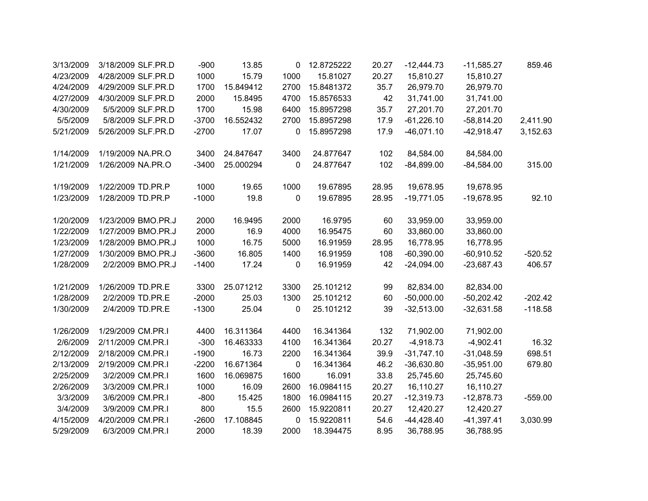| 3/13/2009 | 3/18/2009 SLF.PR.D | $-900$  | 13.85     | 0           | 12.8725222 | 20.27 | $-12,444.73$ | $-11,585.27$ | 859.46    |
|-----------|--------------------|---------|-----------|-------------|------------|-------|--------------|--------------|-----------|
| 4/23/2009 | 4/28/2009 SLF.PR.D | 1000    | 15.79     | 1000        | 15.81027   | 20.27 | 15,810.27    | 15,810.27    |           |
| 4/24/2009 | 4/29/2009 SLF.PR.D | 1700    | 15.849412 | 2700        | 15.8481372 | 35.7  | 26,979.70    | 26,979.70    |           |
| 4/27/2009 | 4/30/2009 SLF.PR.D | 2000    | 15.8495   | 4700        | 15.8576533 | 42    | 31,741.00    | 31,741.00    |           |
| 4/30/2009 | 5/5/2009 SLF.PR.D  | 1700    | 15.98     | 6400        | 15.8957298 | 35.7  | 27,201.70    | 27,201.70    |           |
| 5/5/2009  | 5/8/2009 SLF.PR.D  | $-3700$ | 16.552432 | 2700        | 15.8957298 | 17.9  | $-61,226.10$ | $-58,814.20$ | 2,411.90  |
| 5/21/2009 | 5/26/2009 SLF.PR.D | $-2700$ | 17.07     | 0           | 15.8957298 | 17.9  | $-46,071.10$ | $-42,918.47$ | 3,152.63  |
| 1/14/2009 | 1/19/2009 NA.PR.O  | 3400    | 24.847647 | 3400        | 24.877647  | 102   | 84,584.00    | 84,584.00    |           |
| 1/21/2009 | 1/26/2009 NA.PR.O  | $-3400$ | 25.000294 | 0           | 24.877647  | 102   | $-84,899.00$ | $-84,584.00$ | 315.00    |
| 1/19/2009 | 1/22/2009 TD.PR.P  | 1000    | 19.65     | 1000        | 19.67895   | 28.95 | 19,678.95    | 19,678.95    |           |
| 1/23/2009 | 1/28/2009 TD.PR.P  | $-1000$ | 19.8      | $\mathbf 0$ | 19.67895   | 28.95 | $-19,771.05$ | $-19,678.95$ | 92.10     |
| 1/20/2009 | 1/23/2009 BMO.PR.J | 2000    | 16.9495   | 2000        | 16.9795    | 60    | 33,959.00    | 33,959.00    |           |
| 1/22/2009 | 1/27/2009 BMO.PR.J | 2000    | 16.9      | 4000        | 16.95475   | 60    | 33,860.00    | 33,860.00    |           |
| 1/23/2009 | 1/28/2009 BMO.PR.J | 1000    | 16.75     | 5000        | 16.91959   | 28.95 | 16,778.95    | 16,778.95    |           |
| 1/27/2009 | 1/30/2009 BMO.PR.J | $-3600$ | 16.805    | 1400        | 16.91959   | 108   | $-60,390.00$ | $-60,910.52$ | $-520.52$ |
| 1/28/2009 | 2/2/2009 BMO.PR.J  | $-1400$ | 17.24     | 0           | 16.91959   | 42    | $-24,094.00$ | $-23,687.43$ | 406.57    |
| 1/21/2009 | 1/26/2009 TD.PR.E  | 3300    | 25.071212 | 3300        | 25.101212  | 99    | 82,834.00    | 82,834.00    |           |
| 1/28/2009 | 2/2/2009 TD.PR.E   | $-2000$ | 25.03     | 1300        | 25.101212  | 60    | $-50,000.00$ | $-50,202.42$ | $-202.42$ |
| 1/30/2009 | 2/4/2009 TD.PR.E   | $-1300$ | 25.04     | 0           | 25.101212  | 39    | $-32,513.00$ | $-32,631.58$ | $-118.58$ |
| 1/26/2009 | 1/29/2009 CM.PR.I  | 4400    | 16.311364 | 4400        | 16.341364  | 132   | 71,902.00    | 71,902.00    |           |
| 2/6/2009  | 2/11/2009 CM.PR.I  | $-300$  | 16.463333 | 4100        | 16.341364  | 20.27 | $-4,918.73$  | $-4,902.41$  | 16.32     |
| 2/12/2009 | 2/18/2009 CM.PR.I  | $-1900$ | 16.73     | 2200        | 16.341364  | 39.9  | $-31,747.10$ | $-31,048.59$ | 698.51    |
| 2/13/2009 | 2/19/2009 CM.PR.I  | $-2200$ | 16.671364 | 0           | 16.341364  | 46.2  | $-36,630.80$ | $-35,951.00$ | 679.80    |
| 2/25/2009 | 3/2/2009 CM.PR.I   | 1600    | 16.069875 | 1600        | 16.091     | 33.8  | 25,745.60    | 25,745.60    |           |
| 2/26/2009 | 3/3/2009 CM.PR.I   | 1000    | 16.09     | 2600        | 16.0984115 | 20.27 | 16,110.27    | 16,110.27    |           |
| 3/3/2009  | 3/6/2009 CM.PR.I   | $-800$  | 15.425    | 1800        | 16.0984115 | 20.27 | $-12,319.73$ | $-12,878.73$ | $-559.00$ |
| 3/4/2009  | 3/9/2009 CM.PR.I   | 800     | 15.5      | 2600        | 15.9220811 | 20.27 | 12,420.27    | 12,420.27    |           |
| 4/15/2009 | 4/20/2009 CM.PR.I  | $-2600$ | 17.108845 | 0           | 15.9220811 | 54.6  | $-44,428.40$ | $-41,397.41$ | 3,030.99  |
| 5/29/2009 | 6/3/2009 CM.PR.I   | 2000    | 18.39     | 2000        | 18.394475  | 8.95  | 36,788.95    | 36,788.95    |           |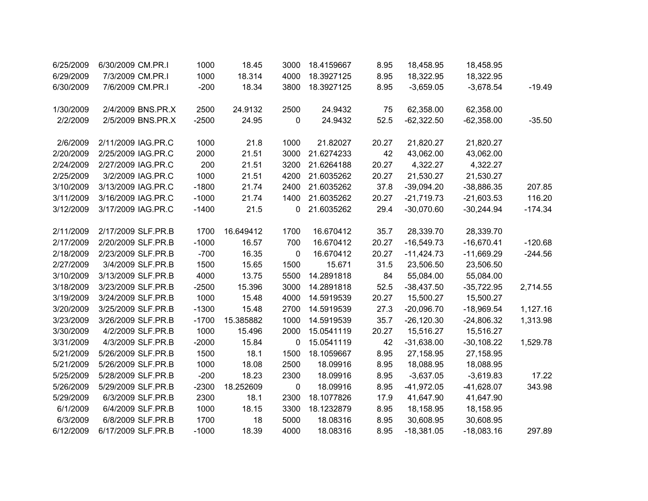| 6/25/2009 | 6/30/2009 CM.PR.I  | 1000    | 18.45     | 3000        | 18.4159667 | 8.95  | 18,458.95    | 18,458.95    |           |
|-----------|--------------------|---------|-----------|-------------|------------|-------|--------------|--------------|-----------|
| 6/29/2009 | 7/3/2009 CM.PR.I   | 1000    | 18.314    | 4000        | 18.3927125 | 8.95  | 18,322.95    | 18,322.95    |           |
| 6/30/2009 | 7/6/2009 CM.PR.I   | $-200$  | 18.34     | 3800        | 18.3927125 | 8.95  | $-3,659.05$  | $-3,678.54$  | $-19.49$  |
| 1/30/2009 | 2/4/2009 BNS.PR.X  | 2500    | 24.9132   | 2500        | 24.9432    | 75    | 62,358.00    | 62,358.00    |           |
| 2/2/2009  | 2/5/2009 BNS.PR.X  | $-2500$ | 24.95     | 0           | 24.9432    | 52.5  | $-62,322.50$ | $-62,358.00$ | $-35.50$  |
| 2/6/2009  | 2/11/2009 IAG.PR.C | 1000    | 21.8      | 1000        | 21.82027   | 20.27 | 21,820.27    | 21,820.27    |           |
| 2/20/2009 | 2/25/2009 IAG.PR.C | 2000    | 21.51     | 3000        | 21.6274233 | 42    | 43,062.00    | 43,062.00    |           |
| 2/24/2009 | 2/27/2009 IAG.PR.C | 200     | 21.51     | 3200        | 21.6264188 | 20.27 | 4,322.27     | 4,322.27     |           |
| 2/25/2009 | 3/2/2009 IAG.PR.C  | 1000    | 21.51     | 4200        | 21.6035262 | 20.27 | 21,530.27    | 21,530.27    |           |
| 3/10/2009 | 3/13/2009 IAG.PR.C | $-1800$ | 21.74     | 2400        | 21.6035262 | 37.8  | $-39,094.20$ | $-38,886.35$ | 207.85    |
| 3/11/2009 | 3/16/2009 IAG.PR.C | $-1000$ | 21.74     | 1400        | 21.6035262 | 20.27 | $-21,719.73$ | $-21,603.53$ | 116.20    |
| 3/12/2009 | 3/17/2009 IAG.PR.C | $-1400$ | 21.5      | 0           | 21.6035262 | 29.4  | $-30,070.60$ | $-30,244.94$ | $-174.34$ |
| 2/11/2009 | 2/17/2009 SLF.PR.B | 1700    | 16.649412 | 1700        | 16.670412  | 35.7  | 28,339.70    | 28,339.70    |           |
| 2/17/2009 | 2/20/2009 SLF.PR.B | $-1000$ | 16.57     | 700         | 16.670412  | 20.27 | $-16,549.73$ | $-16,670.41$ | $-120.68$ |
| 2/18/2009 | 2/23/2009 SLF.PR.B | $-700$  | 16.35     | $\mathbf 0$ | 16.670412  | 20.27 | $-11,424.73$ | $-11,669.29$ | $-244.56$ |
| 2/27/2009 | 3/4/2009 SLF.PR.B  | 1500    | 15.65     | 1500        | 15.671     | 31.5  | 23,506.50    | 23,506.50    |           |
| 3/10/2009 | 3/13/2009 SLF.PR.B | 4000    | 13.75     | 5500        | 14.2891818 | 84    | 55,084.00    | 55,084.00    |           |
| 3/18/2009 | 3/23/2009 SLF.PR.B | $-2500$ | 15.396    | 3000        | 14.2891818 | 52.5  | $-38,437.50$ | $-35,722.95$ | 2,714.55  |
| 3/19/2009 | 3/24/2009 SLF.PR.B | 1000    | 15.48     | 4000        | 14.5919539 | 20.27 | 15,500.27    | 15,500.27    |           |
| 3/20/2009 | 3/25/2009 SLF.PR.B | $-1300$ | 15.48     | 2700        | 14.5919539 | 27.3  | $-20,096.70$ | $-18,969.54$ | 1,127.16  |
| 3/23/2009 | 3/26/2009 SLF.PR.B | $-1700$ | 15.385882 | 1000        | 14.5919539 | 35.7  | $-26,120.30$ | $-24,806.32$ | 1,313.98  |
| 3/30/2009 | 4/2/2009 SLF.PR.B  | 1000    | 15.496    | 2000        | 15.0541119 | 20.27 | 15,516.27    | 15,516.27    |           |
| 3/31/2009 | 4/3/2009 SLF.PR.B  | $-2000$ | 15.84     | 0           | 15.0541119 | 42    | $-31,638.00$ | $-30,108.22$ | 1,529.78  |
| 5/21/2009 | 5/26/2009 SLF.PR.B | 1500    | 18.1      | 1500        | 18.1059667 | 8.95  | 27,158.95    | 27,158.95    |           |
| 5/21/2009 | 5/26/2009 SLF.PR.B | 1000    | 18.08     | 2500        | 18.09916   | 8.95  | 18,088.95    | 18,088.95    |           |
| 5/25/2009 | 5/28/2009 SLF.PR.B | $-200$  | 18.23     | 2300        | 18.09916   | 8.95  | $-3,637.05$  | $-3,619.83$  | 17.22     |
| 5/26/2009 | 5/29/2009 SLF.PR.B | $-2300$ | 18.252609 | $\pmb{0}$   | 18.09916   | 8.95  | $-41,972.05$ | $-41,628.07$ | 343.98    |
| 5/29/2009 | 6/3/2009 SLF.PR.B  | 2300    | 18.1      | 2300        | 18.1077826 | 17.9  | 41,647.90    | 41,647.90    |           |
| 6/1/2009  | 6/4/2009 SLF.PR.B  | 1000    | 18.15     | 3300        | 18.1232879 | 8.95  | 18,158.95    | 18,158.95    |           |
| 6/3/2009  | 6/8/2009 SLF.PR.B  | 1700    | 18        | 5000        | 18.08316   | 8.95  | 30,608.95    | 30,608.95    |           |
| 6/12/2009 | 6/17/2009 SLF.PR.B | $-1000$ | 18.39     | 4000        | 18.08316   | 8.95  | $-18,381.05$ | $-18,083.16$ | 297.89    |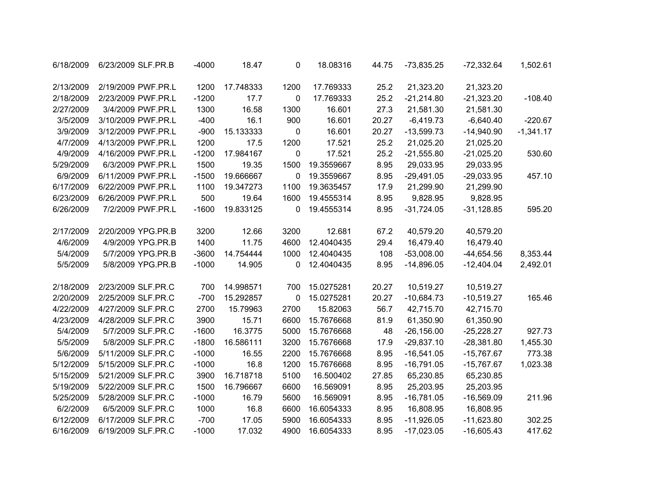| 6/18/2009 | 6/23/2009 SLF.PR.B | $-4000$ | 18.47     | 0           | 18.08316   | 44.75 | $-73,835.25$  | $-72,332.64$ | 1,502.61    |
|-----------|--------------------|---------|-----------|-------------|------------|-------|---------------|--------------|-------------|
| 2/13/2009 | 2/19/2009 PWF.PR.L | 1200    | 17.748333 | 1200        | 17.769333  | 25.2  | 21,323.20     | 21,323.20    |             |
| 2/18/2009 | 2/23/2009 PWF.PR.L | $-1200$ | 17.7      | $\pmb{0}$   | 17.769333  | 25.2  | $-21,214.80$  | $-21,323.20$ | $-108.40$   |
| 2/27/2009 | 3/4/2009 PWF.PR.L  | 1300    | 16.58     | 1300        | 16.601     | 27.3  | 21,581.30     | 21,581.30    |             |
| 3/5/2009  | 3/10/2009 PWF.PR.L | $-400$  | 16.1      | 900         | 16.601     | 20.27 | $-6,419.73$   | $-6,640.40$  | $-220.67$   |
| 3/9/2009  | 3/12/2009 PWF.PR.L | $-900$  | 15.133333 | $\mathbf 0$ | 16.601     | 20.27 | $-13,599.73$  | $-14,940.90$ | $-1,341.17$ |
| 4/7/2009  | 4/13/2009 PWF.PR.L | 1200    | 17.5      | 1200        | 17.521     | 25.2  | 21,025.20     | 21,025.20    |             |
| 4/9/2009  | 4/16/2009 PWF.PR.L | $-1200$ | 17.984167 | $\pmb{0}$   | 17.521     | 25.2  | $-21,555.80$  | $-21,025.20$ | 530.60      |
| 5/29/2009 | 6/3/2009 PWF.PR.L  | 1500    | 19.35     | 1500        | 19.3559667 | 8.95  | 29,033.95     | 29,033.95    |             |
| 6/9/2009  | 6/11/2009 PWF.PR.L | $-1500$ | 19.666667 | 0           | 19.3559667 | 8.95  | $-29,491.05$  | $-29,033.95$ | 457.10      |
| 6/17/2009 | 6/22/2009 PWF.PR.L | 1100    | 19.347273 | 1100        | 19.3635457 | 17.9  | 21,299.90     | 21,299.90    |             |
| 6/23/2009 | 6/26/2009 PWF.PR.L | 500     | 19.64     | 1600        | 19.4555314 | 8.95  | 9,828.95      | 9,828.95     |             |
| 6/26/2009 | 7/2/2009 PWF.PR.L  | $-1600$ | 19.833125 | 0           | 19.4555314 | 8.95  | $-31,724.05$  | $-31,128.85$ | 595.20      |
| 2/17/2009 | 2/20/2009 YPG.PR.B | 3200    | 12.66     | 3200        | 12.681     | 67.2  | 40,579.20     | 40,579.20    |             |
| 4/6/2009  | 4/9/2009 YPG.PR.B  | 1400    | 11.75     | 4600        | 12.4040435 | 29.4  | 16,479.40     | 16,479.40    |             |
| 5/4/2009  | 5/7/2009 YPG.PR.B  | $-3600$ | 14.754444 | 1000        | 12.4040435 | 108   | $-53,008.00$  | $-44,654.56$ | 8,353.44    |
| 5/5/2009  | 5/8/2009 YPG.PR.B  | $-1000$ | 14.905    | 0           | 12.4040435 | 8.95  | $-14,896.05$  | $-12,404.04$ | 2,492.01    |
| 2/18/2009 | 2/23/2009 SLF.PR.C | 700     | 14.998571 | 700         | 15.0275281 | 20.27 | 10,519.27     | 10,519.27    |             |
| 2/20/2009 | 2/25/2009 SLF.PR.C | $-700$  | 15.292857 | 0           | 15.0275281 | 20.27 | $-10,684.73$  | $-10,519.27$ | 165.46      |
| 4/22/2009 | 4/27/2009 SLF.PR.C | 2700    | 15.79963  | 2700        | 15.82063   | 56.7  | 42,715.70     | 42,715.70    |             |
| 4/23/2009 | 4/28/2009 SLF.PR.C | 3900    | 15.71     | 6600        | 15.7676668 | 81.9  | 61,350.90     | 61,350.90    |             |
| 5/4/2009  | 5/7/2009 SLF.PR.C  | $-1600$ | 16.3775   | 5000        | 15.7676668 | 48    | $-26, 156.00$ | $-25,228.27$ | 927.73      |
| 5/5/2009  | 5/8/2009 SLF.PR.C  | $-1800$ | 16.586111 | 3200        | 15.7676668 | 17.9  | $-29,837.10$  | $-28,381.80$ | 1,455.30    |
| 5/6/2009  | 5/11/2009 SLF.PR.C | $-1000$ | 16.55     | 2200        | 15.7676668 | 8.95  | $-16,541.05$  | $-15,767.67$ | 773.38      |
| 5/12/2009 | 5/15/2009 SLF.PR.C | $-1000$ | 16.8      | 1200        | 15.7676668 | 8.95  | $-16,791.05$  | $-15,767.67$ | 1,023.38    |
| 5/15/2009 | 5/21/2009 SLF.PR.C | 3900    | 16.718718 | 5100        | 16.500402  | 27.85 | 65,230.85     | 65,230.85    |             |
| 5/19/2009 | 5/22/2009 SLF.PR.C | 1500    | 16.796667 | 6600        | 16.569091  | 8.95  | 25,203.95     | 25,203.95    |             |
| 5/25/2009 | 5/28/2009 SLF.PR.C | $-1000$ | 16.79     | 5600        | 16.569091  | 8.95  | $-16,781.05$  | $-16,569.09$ | 211.96      |
| 6/2/2009  | 6/5/2009 SLF.PR.C  | 1000    | 16.8      | 6600        | 16.6054333 | 8.95  | 16,808.95     | 16,808.95    |             |
| 6/12/2009 | 6/17/2009 SLF.PR.C | $-700$  | 17.05     | 5900        | 16.6054333 | 8.95  | $-11,926.05$  | $-11,623.80$ | 302.25      |
| 6/16/2009 | 6/19/2009 SLF.PR.C | $-1000$ | 17.032    | 4900        | 16.6054333 | 8.95  | $-17,023.05$  | $-16,605.43$ | 417.62      |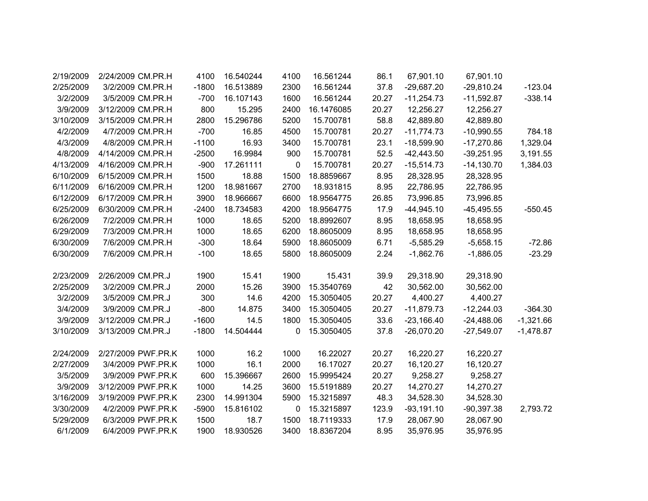|             | 67,901.10    | 67,901.10    | 86.1  | 16.561244  | 4100        | 16.540244 | 4100    | 2/24/2009 CM.PR.H  | 2/19/2009 |
|-------------|--------------|--------------|-------|------------|-------------|-----------|---------|--------------------|-----------|
| $-123.04$   | $-29,810.24$ | $-29,687.20$ | 37.8  | 16.561244  | 2300        | 16.513889 | $-1800$ | 3/2/2009 CM.PR.H   | 2/25/2009 |
| $-338.14$   | $-11,592.87$ | $-11,254.73$ | 20.27 | 16.561244  | 1600        | 16.107143 | $-700$  | 3/5/2009 CM.PR.H   | 3/2/2009  |
|             | 12,256.27    | 12,256.27    | 20.27 | 16.1476085 | 2400        | 15.295    | 800     | 3/12/2009 CM.PR.H  | 3/9/2009  |
|             | 42,889.80    | 42,889.80    | 58.8  | 15.700781  | 5200        | 15.296786 | 2800    | 3/15/2009 CM.PR.H  | 3/10/2009 |
| 784.18      | $-10,990.55$ | $-11,774.73$ | 20.27 | 15.700781  | 4500        | 16.85     | $-700$  | 4/7/2009 CM.PR.H   | 4/2/2009  |
| 1,329.04    | $-17,270.86$ | $-18,599.90$ | 23.1  | 15.700781  | 3400        | 16.93     | $-1100$ | 4/8/2009 CM.PR.H   | 4/3/2009  |
| 3,191.55    | $-39,251.95$ | $-42,443.50$ | 52.5  | 15.700781  | 900         | 16.9984   | $-2500$ | 4/14/2009 CM.PR.H  | 4/8/2009  |
| 1,384.03    | $-14,130.70$ | $-15,514.73$ | 20.27 | 15.700781  | $\mathbf 0$ | 17.261111 | $-900$  | 4/16/2009 CM.PR.H  | 4/13/2009 |
|             | 28,328.95    | 28,328.95    | 8.95  | 18.8859667 | 1500        | 18.88     | 1500    | 6/15/2009 CM.PR.H  | 6/10/2009 |
|             | 22,786.95    | 22,786.95    | 8.95  | 18.931815  | 2700        | 18.981667 | 1200    | 6/16/2009 CM.PR.H  | 6/11/2009 |
|             | 73,996.85    | 73,996.85    | 26.85 | 18.9564775 | 6600        | 18.966667 | 3900    | 6/17/2009 CM.PR.H  | 6/12/2009 |
| $-550.45$   | $-45,495.55$ | $-44,945.10$ | 17.9  | 18.9564775 | 4200        | 18.734583 | $-2400$ | 6/30/2009 CM.PR.H  | 6/25/2009 |
|             | 18,658.95    | 18,658.95    | 8.95  | 18.8992607 | 5200        | 18.65     | 1000    | 7/2/2009 CM.PR.H   | 6/26/2009 |
|             | 18,658.95    | 18,658.95    | 8.95  | 18.8605009 | 6200        | 18.65     | 1000    | 7/3/2009 CM.PR.H   | 6/29/2009 |
| $-72.86$    | $-5,658.15$  | $-5,585.29$  | 6.71  | 18.8605009 | 5900        | 18.64     | $-300$  | 7/6/2009 CM.PR.H   | 6/30/2009 |
| $-23.29$    | $-1,886.05$  | $-1,862.76$  | 2.24  | 18.8605009 | 5800        | 18.65     | $-100$  | 7/6/2009 CM.PR.H   | 6/30/2009 |
|             |              |              |       |            |             |           |         |                    |           |
|             | 29,318.90    | 29,318.90    | 39.9  | 15.431     | 1900        | 15.41     | 1900    | 2/26/2009 CM.PR.J  | 2/23/2009 |
|             | 30,562.00    | 30,562.00    | 42    | 15.3540769 | 3900        | 15.26     | 2000    | 3/2/2009 CM.PR.J   | 2/25/2009 |
|             | 4,400.27     | 4,400.27     | 20.27 | 15.3050405 | 4200        | 14.6      | 300     | 3/5/2009 CM.PR.J   | 3/2/2009  |
| $-364.30$   | $-12,244.03$ | $-11,879.73$ | 20.27 | 15.3050405 | 3400        | 14.875    | $-800$  | 3/9/2009 CM.PR.J   | 3/4/2009  |
| $-1,321.66$ | $-24,488.06$ | $-23,166.40$ | 33.6  | 15.3050405 | 1800        | 14.5      | $-1600$ | 3/12/2009 CM.PR.J  | 3/9/2009  |
| $-1,478.87$ | $-27,549.07$ | $-26,070.20$ | 37.8  | 15.3050405 | 0           | 14.504444 | $-1800$ | 3/13/2009 CM.PR.J  | 3/10/2009 |
|             |              |              |       |            |             |           |         |                    |           |
|             | 16,220.27    | 16,220.27    | 20.27 | 16.22027   | 1000        | 16.2      | 1000    | 2/27/2009 PWF.PR.K | 2/24/2009 |
|             | 16,120.27    | 16,120.27    | 20.27 | 16.17027   | 2000        | 16.1      | 1000    | 3/4/2009 PWF.PR.K  | 2/27/2009 |
|             | 9,258.27     | 9,258.27     | 20.27 | 15.9995424 | 2600        | 15.396667 | 600     | 3/9/2009 PWF.PR.K  | 3/5/2009  |
|             | 14,270.27    | 14,270.27    | 20.27 | 15.5191889 | 3600        | 14.25     | 1000    | 3/12/2009 PWF.PR.K | 3/9/2009  |
|             | 34,528.30    | 34,528.30    | 48.3  | 15.3215897 | 5900        | 14.991304 | 2300    | 3/19/2009 PWF.PR.K | 3/16/2009 |
| 2,793.72    | $-90,397.38$ | $-93,191.10$ | 123.9 | 15.3215897 | $\mathbf 0$ | 15.816102 | $-5900$ | 4/2/2009 PWF.PR.K  | 3/30/2009 |
|             | 28,067.90    | 28,067.90    | 17.9  | 18.7119333 | 1500        | 18.7      | 1500    | 6/3/2009 PWF.PR.K  | 5/29/2009 |
|             | 35,976.95    | 35,976.95    | 8.95  | 18.8367204 | 3400        | 18.930526 | 1900    | 6/4/2009 PWF.PR.K  | 6/1/2009  |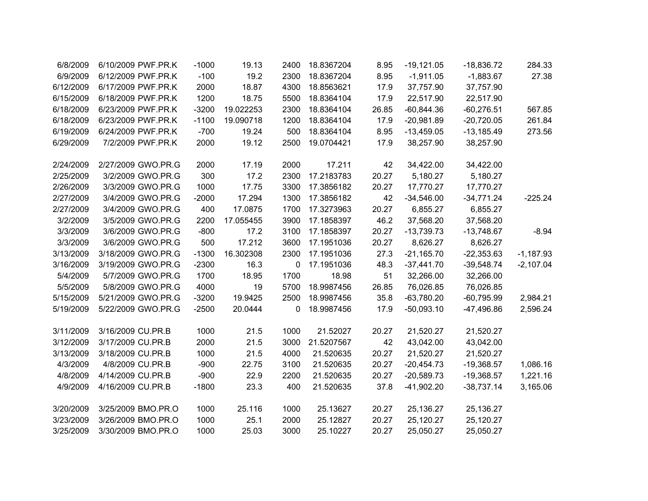| 6/8/2009  | 6/10/2009 PWF.PR.K | $-1000$ | 19.13     | 2400 | 18.8367204 | 8.95  | $-19,121.05$ | $-18,836.72$ | 284.33      |
|-----------|--------------------|---------|-----------|------|------------|-------|--------------|--------------|-------------|
| 6/9/2009  | 6/12/2009 PWF.PR.K | $-100$  | 19.2      | 2300 | 18.8367204 | 8.95  | $-1,911.05$  | $-1,883.67$  | 27.38       |
| 6/12/2009 | 6/17/2009 PWF.PR.K | 2000    | 18.87     | 4300 | 18.8563621 | 17.9  | 37,757.90    | 37,757.90    |             |
| 6/15/2009 | 6/18/2009 PWF.PR.K | 1200    | 18.75     | 5500 | 18.8364104 | 17.9  | 22,517.90    | 22,517.90    |             |
| 6/18/2009 | 6/23/2009 PWF.PR.K | $-3200$ | 19.022253 | 2300 | 18.8364104 | 26.85 | $-60,844.36$ | $-60,276.51$ | 567.85      |
| 6/18/2009 | 6/23/2009 PWF.PR.K | $-1100$ | 19.090718 | 1200 | 18.8364104 | 17.9  | $-20,981.89$ | $-20,720.05$ | 261.84      |
| 6/19/2009 | 6/24/2009 PWF.PR.K | $-700$  | 19.24     | 500  | 18.8364104 | 8.95  | $-13,459.05$ | $-13,185.49$ | 273.56      |
| 6/29/2009 | 7/2/2009 PWF.PR.K  | 2000    | 19.12     | 2500 | 19.0704421 | 17.9  | 38,257.90    | 38,257.90    |             |
|           |                    |         |           |      |            |       |              |              |             |
| 2/24/2009 | 2/27/2009 GWO.PR.G | 2000    | 17.19     | 2000 | 17.211     | 42    | 34,422.00    | 34,422.00    |             |
| 2/25/2009 | 3/2/2009 GWO.PR.G  | 300     | 17.2      | 2300 | 17.2183783 | 20.27 | 5,180.27     | 5,180.27     |             |
| 2/26/2009 | 3/3/2009 GWO.PR.G  | 1000    | 17.75     | 3300 | 17.3856182 | 20.27 | 17,770.27    | 17,770.27    |             |
| 2/27/2009 | 3/4/2009 GWO.PR.G  | $-2000$ | 17.294    | 1300 | 17.3856182 | 42    | $-34,546.00$ | $-34,771.24$ | $-225.24$   |
| 2/27/2009 | 3/4/2009 GWO.PR.G  | 400     | 17.0875   | 1700 | 17.3273963 | 20.27 | 6,855.27     | 6,855.27     |             |
| 3/2/2009  | 3/5/2009 GWO.PR.G  | 2200    | 17.055455 | 3900 | 17.1858397 | 46.2  | 37,568.20    | 37,568.20    |             |
| 3/3/2009  | 3/6/2009 GWO.PR.G  | $-800$  | 17.2      | 3100 | 17.1858397 | 20.27 | $-13,739.73$ | $-13,748.67$ | $-8.94$     |
| 3/3/2009  | 3/6/2009 GWO.PR.G  | 500     | 17.212    | 3600 | 17.1951036 | 20.27 | 8,626.27     | 8,626.27     |             |
| 3/13/2009 | 3/18/2009 GWO.PR.G | $-1300$ | 16.302308 | 2300 | 17.1951036 | 27.3  | $-21,165.70$ | $-22,353.63$ | $-1,187.93$ |
| 3/16/2009 | 3/19/2009 GWO.PR.G | $-2300$ | 16.3      | 0    | 17.1951036 | 48.3  | $-37,441.70$ | $-39,548.74$ | $-2,107.04$ |
| 5/4/2009  | 5/7/2009 GWO.PR.G  | 1700    | 18.95     | 1700 | 18.98      | 51    | 32,266.00    | 32,266.00    |             |
| 5/5/2009  | 5/8/2009 GWO.PR.G  | 4000    | 19        | 5700 | 18.9987456 | 26.85 | 76,026.85    | 76,026.85    |             |
| 5/15/2009 | 5/21/2009 GWO.PR.G | $-3200$ | 19.9425   | 2500 | 18.9987456 | 35.8  | $-63,780.20$ | $-60,795.99$ | 2,984.21    |
| 5/19/2009 | 5/22/2009 GWO.PR.G | $-2500$ | 20.0444   | 0    | 18.9987456 | 17.9  | $-50,093.10$ | $-47,496.86$ | 2,596.24    |
|           |                    |         |           |      |            |       |              |              |             |
| 3/11/2009 | 3/16/2009 CU.PR.B  | 1000    | 21.5      | 1000 | 21.52027   | 20.27 | 21,520.27    | 21,520.27    |             |
| 3/12/2009 | 3/17/2009 CU.PR.B  | 2000    | 21.5      | 3000 | 21.5207567 | 42    | 43,042.00    | 43,042.00    |             |
| 3/13/2009 | 3/18/2009 CU.PR.B  | 1000    | 21.5      | 4000 | 21.520635  | 20.27 | 21,520.27    | 21,520.27    |             |
| 4/3/2009  | 4/8/2009 CU.PR.B   | $-900$  | 22.75     | 3100 | 21.520635  | 20.27 | $-20,454.73$ | $-19,368.57$ | 1,086.16    |
| 4/8/2009  | 4/14/2009 CU.PR.B  | $-900$  | 22.9      | 2200 | 21.520635  | 20.27 | $-20,589.73$ | $-19,368.57$ | 1,221.16    |
| 4/9/2009  | 4/16/2009 CU.PR.B  | $-1800$ | 23.3      | 400  | 21.520635  | 37.8  | $-41,902.20$ | $-38,737.14$ | 3,165.06    |
|           |                    |         |           |      |            |       |              |              |             |
| 3/20/2009 | 3/25/2009 BMO.PR.O | 1000    | 25.116    | 1000 | 25.13627   | 20.27 | 25,136.27    | 25,136.27    |             |
| 3/23/2009 | 3/26/2009 BMO.PR.O | 1000    | 25.1      | 2000 | 25.12827   | 20.27 | 25,120.27    | 25,120.27    |             |
| 3/25/2009 | 3/30/2009 BMO.PR.O | 1000    | 25.03     | 3000 | 25.10227   | 20.27 | 25,050.27    | 25,050.27    |             |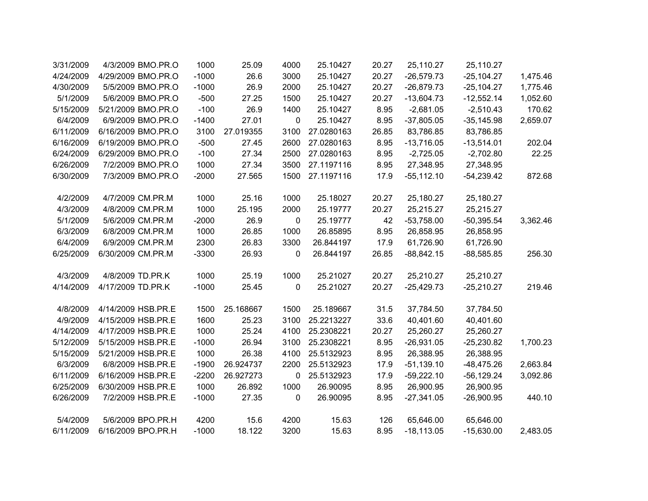| 3/31/2009 | 4/3/2009 BMO.PR.O  | 1000    | 25.09     | 4000        | 25.10427   | 20.27 | 25,110.27     | 25,110.27     |          |
|-----------|--------------------|---------|-----------|-------------|------------|-------|---------------|---------------|----------|
| 4/24/2009 | 4/29/2009 BMO.PR.O | $-1000$ | 26.6      | 3000        | 25.10427   | 20.27 | $-26,579.73$  | $-25, 104.27$ | 1,475.46 |
| 4/30/2009 | 5/5/2009 BMO.PR.O  | $-1000$ | 26.9      | 2000        | 25.10427   | 20.27 | $-26,879.73$  | $-25, 104.27$ | 1,775.46 |
| 5/1/2009  | 5/6/2009 BMO.PR.O  | $-500$  | 27.25     | 1500        | 25.10427   | 20.27 | $-13,604.73$  | $-12,552.14$  | 1,052.60 |
| 5/15/2009 | 5/21/2009 BMO.PR.O | $-100$  | 26.9      | 1400        | 25.10427   | 8.95  | $-2,681.05$   | $-2,510.43$   | 170.62   |
| 6/4/2009  | 6/9/2009 BMO.PR.O  | $-1400$ | 27.01     | $\pmb{0}$   | 25.10427   | 8.95  | $-37,805.05$  | $-35,145.98$  | 2,659.07 |
| 6/11/2009 | 6/16/2009 BMO.PR.O | 3100    | 27.019355 | 3100        | 27.0280163 | 26.85 | 83,786.85     | 83,786.85     |          |
| 6/16/2009 | 6/19/2009 BMO.PR.O | $-500$  | 27.45     | 2600        | 27.0280163 | 8.95  | $-13,716.05$  | $-13,514.01$  | 202.04   |
| 6/24/2009 | 6/29/2009 BMO.PR.O | $-100$  | 27.34     | 2500        | 27.0280163 | 8.95  | $-2,725.05$   | $-2,702.80$   | 22.25    |
| 6/26/2009 | 7/2/2009 BMO.PR.O  | 1000    | 27.34     | 3500        | 27.1197116 | 8.95  | 27,348.95     | 27,348.95     |          |
| 6/30/2009 | 7/3/2009 BMO.PR.O  | $-2000$ | 27.565    | 1500        | 27.1197116 | 17.9  | $-55, 112.10$ | $-54,239.42$  | 872.68   |
|           |                    |         |           |             |            |       |               |               |          |
| 4/2/2009  | 4/7/2009 CM.PR.M   | 1000    | 25.16     | 1000        | 25.18027   | 20.27 | 25,180.27     | 25,180.27     |          |
| 4/3/2009  | 4/8/2009 CM.PR.M   | 1000    | 25.195    | 2000        | 25.19777   | 20.27 | 25,215.27     | 25,215.27     |          |
| 5/1/2009  | 5/6/2009 CM.PR.M   | $-2000$ | 26.9      | $\mathbf 0$ | 25.19777   | 42    | $-53,758.00$  | $-50,395.54$  | 3,362.46 |
| 6/3/2009  | 6/8/2009 CM.PR.M   | 1000    | 26.85     | 1000        | 26.85895   | 8.95  | 26,858.95     | 26,858.95     |          |
| 6/4/2009  | 6/9/2009 CM.PR.M   | 2300    | 26.83     | 3300        | 26.844197  | 17.9  | 61,726.90     | 61,726.90     |          |
| 6/25/2009 | 6/30/2009 CM.PR.M  | $-3300$ | 26.93     | 0           | 26.844197  | 26.85 | $-88,842.15$  | $-88,585.85$  | 256.30   |
|           |                    |         |           |             |            |       |               |               |          |
| 4/3/2009  | 4/8/2009 TD.PR.K   | 1000    | 25.19     | 1000        | 25.21027   | 20.27 | 25,210.27     | 25,210.27     |          |
| 4/14/2009 | 4/17/2009 TD.PR.K  | $-1000$ | 25.45     | $\mathbf 0$ | 25.21027   | 20.27 | $-25,429.73$  | $-25,210.27$  | 219.46   |
| 4/8/2009  | 4/14/2009 HSB.PR.E | 1500    | 25.168667 | 1500        | 25.189667  | 31.5  | 37,784.50     | 37,784.50     |          |
| 4/9/2009  | 4/15/2009 HSB.PR.E | 1600    | 25.23     | 3100        | 25.2213227 | 33.6  | 40,401.60     | 40,401.60     |          |
| 4/14/2009 | 4/17/2009 HSB.PR.E | 1000    | 25.24     | 4100        | 25.2308221 | 20.27 | 25,260.27     | 25,260.27     |          |
| 5/12/2009 | 5/15/2009 HSB.PR.E | $-1000$ | 26.94     | 3100        | 25.2308221 | 8.95  | $-26,931.05$  | $-25,230.82$  | 1,700.23 |
| 5/15/2009 | 5/21/2009 HSB.PR.E | 1000    | 26.38     | 4100        | 25.5132923 | 8.95  | 26,388.95     | 26,388.95     |          |
| 6/3/2009  | 6/8/2009 HSB.PR.E  | $-1900$ | 26.924737 | 2200        | 25.5132923 | 17.9  | $-51,139.10$  | $-48,475.26$  | 2,663.84 |
| 6/11/2009 | 6/16/2009 HSB.PR.E | $-2200$ | 26.927273 | $\mathbf 0$ | 25.5132923 | 17.9  | $-59,222.10$  | $-56, 129.24$ | 3,092.86 |
| 6/25/2009 | 6/30/2009 HSB.PR.E | 1000    | 26.892    | 1000        | 26.90095   | 8.95  | 26,900.95     | 26,900.95     |          |
| 6/26/2009 | 7/2/2009 HSB.PR.E  | $-1000$ | 27.35     | 0           | 26.90095   | 8.95  | $-27,341.05$  | $-26,900.95$  | 440.10   |
|           |                    |         |           |             |            |       |               |               |          |
| 5/4/2009  | 5/6/2009 BPO.PR.H  | 4200    | 15.6      | 4200        | 15.63      | 126   | 65,646.00     | 65,646.00     |          |
| 6/11/2009 | 6/16/2009 BPO.PR.H | $-1000$ | 18.122    | 3200        | 15.63      | 8.95  | $-18, 113.05$ | $-15,630.00$  | 2,483.05 |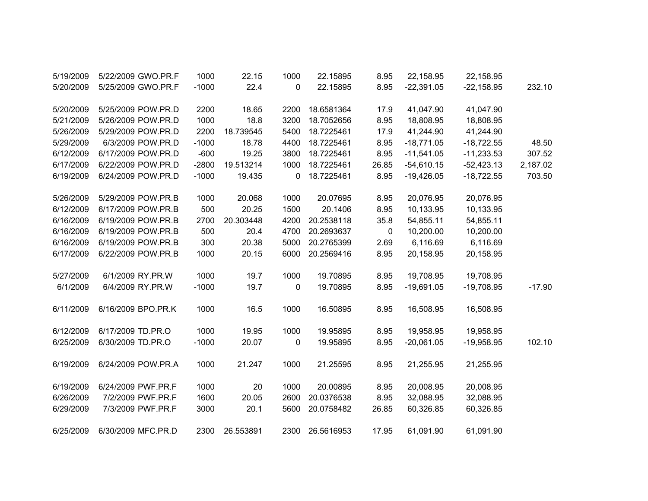| 5/19/2009 | 5/22/2009 GWO.PR.F | 1000    | 22.15     | 1000 | 22.15895   | 8.95  | 22,158.95    | 22,158.95    |          |
|-----------|--------------------|---------|-----------|------|------------|-------|--------------|--------------|----------|
| 5/20/2009 | 5/25/2009 GWO.PR.F | $-1000$ | 22.4      | 0    | 22.15895   | 8.95  | $-22,391.05$ | $-22,158.95$ | 232.10   |
| 5/20/2009 | 5/25/2009 POW.PR.D | 2200    | 18.65     | 2200 | 18.6581364 | 17.9  | 41,047.90    | 41,047.90    |          |
| 5/21/2009 | 5/26/2009 POW.PR.D | 1000    | 18.8      | 3200 | 18.7052656 | 8.95  | 18,808.95    | 18,808.95    |          |
| 5/26/2009 | 5/29/2009 POW.PR.D | 2200    | 18.739545 | 5400 | 18.7225461 | 17.9  | 41,244.90    | 41,244.90    |          |
| 5/29/2009 | 6/3/2009 POW.PR.D  | $-1000$ | 18.78     | 4400 | 18.7225461 | 8.95  | $-18,771.05$ | $-18,722.55$ | 48.50    |
| 6/12/2009 | 6/17/2009 POW.PR.D | $-600$  | 19.25     | 3800 | 18.7225461 | 8.95  | $-11,541.05$ | $-11,233.53$ | 307.52   |
| 6/17/2009 | 6/22/2009 POW.PR.D | $-2800$ | 19.513214 | 1000 | 18.7225461 | 26.85 | $-54,610.15$ | $-52,423.13$ | 2,187.02 |
| 6/19/2009 | 6/24/2009 POW.PR.D | $-1000$ | 19.435    | 0    | 18.7225461 | 8.95  | $-19,426.05$ | $-18,722.55$ | 703.50   |
| 5/26/2009 | 5/29/2009 POW.PR.B | 1000    | 20.068    | 1000 | 20.07695   | 8.95  | 20,076.95    | 20,076.95    |          |
| 6/12/2009 | 6/17/2009 POW.PR.B | 500     | 20.25     | 1500 | 20.1406    | 8.95  | 10,133.95    | 10,133.95    |          |
| 6/16/2009 | 6/19/2009 POW.PR.B | 2700    | 20.303448 | 4200 | 20.2538118 | 35.8  | 54,855.11    | 54,855.11    |          |
| 6/16/2009 | 6/19/2009 POW.PR.B | 500     | 20.4      | 4700 | 20.2693637 | 0     | 10,200.00    | 10,200.00    |          |
| 6/16/2009 | 6/19/2009 POW.PR.B | 300     | 20.38     | 5000 | 20.2765399 | 2.69  | 6,116.69     | 6,116.69     |          |
| 6/17/2009 | 6/22/2009 POW.PR.B | 1000    | 20.15     | 6000 | 20.2569416 | 8.95  | 20,158.95    | 20,158.95    |          |
| 5/27/2009 | 6/1/2009 RY.PR.W   | 1000    | 19.7      | 1000 | 19.70895   | 8.95  | 19,708.95    | 19,708.95    |          |
| 6/1/2009  | 6/4/2009 RY.PR.W   | $-1000$ | 19.7      | 0    | 19.70895   | 8.95  | $-19,691.05$ | $-19,708.95$ | $-17.90$ |
| 6/11/2009 | 6/16/2009 BPO.PR.K | 1000    | 16.5      | 1000 | 16.50895   | 8.95  | 16,508.95    | 16,508.95    |          |
| 6/12/2009 | 6/17/2009 TD.PR.O  | 1000    | 19.95     | 1000 | 19.95895   | 8.95  | 19,958.95    | 19,958.95    |          |
| 6/25/2009 | 6/30/2009 TD.PR.O  | $-1000$ | 20.07     | 0    | 19.95895   | 8.95  | $-20,061.05$ | $-19,958.95$ | 102.10   |
| 6/19/2009 | 6/24/2009 POW.PR.A | 1000    | 21.247    | 1000 | 21.25595   | 8.95  | 21,255.95    | 21,255.95    |          |
| 6/19/2009 | 6/24/2009 PWF.PR.F | 1000    | 20        | 1000 | 20.00895   | 8.95  | 20,008.95    | 20,008.95    |          |
| 6/26/2009 | 7/2/2009 PWF.PR.F  | 1600    | 20.05     | 2600 | 20.0376538 | 8.95  | 32,088.95    | 32,088.95    |          |
| 6/29/2009 | 7/3/2009 PWF.PR.F  | 3000    | 20.1      | 5600 | 20.0758482 | 26.85 | 60,326.85    | 60,326.85    |          |
| 6/25/2009 | 6/30/2009 MFC.PR.D | 2300    | 26.553891 | 2300 | 26.5616953 | 17.95 | 61,091.90    | 61,091.90    |          |